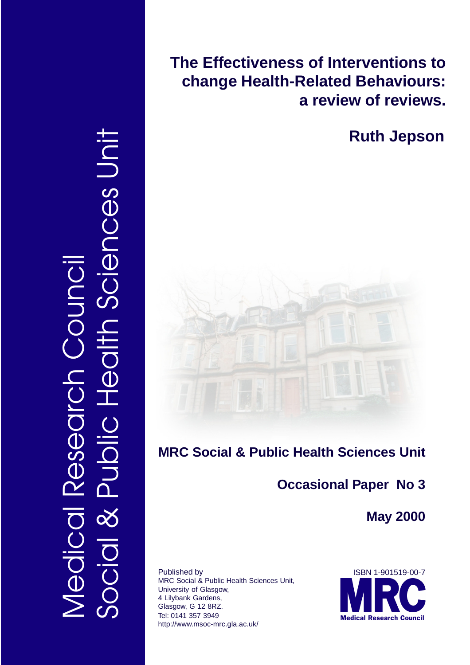Social & Public Health Sciences Unit ences Uni Medical Research Council OUINC Researcl Jeci

**The Effectiveness of Interventions to change Health-Related Behaviours: a review of reviews.**

**Ruth Jepson**



# **MRC Social & Public Health Sciences Unit**

# **Occasional Paper No 3**

**May 2000**

Published by MRC Social & Public Health Sciences Unit, University of Glasgow, 4 Lilybank Gardens, Glasgow, G 12 8RZ. Tel: 0141 357 3949 http://www.msoc-mrc.gla.ac.uk/

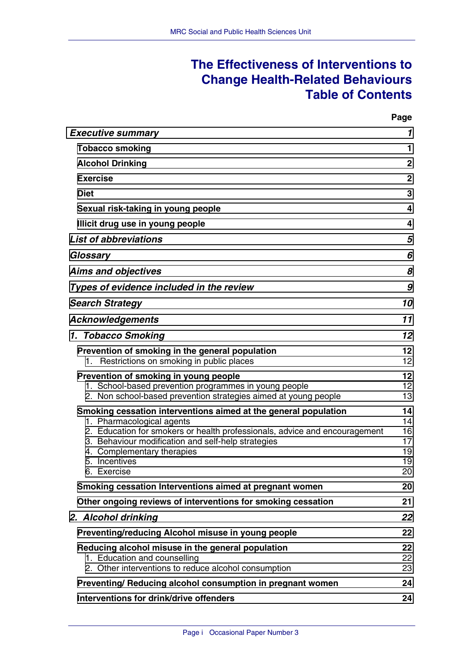## **The Effectiveness of Interventions to Change Health-Related Behaviours Table of Contents**

**Page**

| <b>Executive summary</b>                                                                                                                                                                                                                                                                       | 1                                      |
|------------------------------------------------------------------------------------------------------------------------------------------------------------------------------------------------------------------------------------------------------------------------------------------------|----------------------------------------|
| <b>Tobacco smoking</b>                                                                                                                                                                                                                                                                         | 1.                                     |
| <b>Alcohol Drinking</b>                                                                                                                                                                                                                                                                        | $\mathbf{2}$                           |
| <b>Exercise</b>                                                                                                                                                                                                                                                                                | $\mathbf{2}$                           |
| <b>Diet</b>                                                                                                                                                                                                                                                                                    | 3                                      |
| Sexual risk-taking in young people                                                                                                                                                                                                                                                             | 4                                      |
| Illicit drug use in young people                                                                                                                                                                                                                                                               | 4                                      |
| <b>List of abbreviations</b>                                                                                                                                                                                                                                                                   | 5                                      |
| Glossary                                                                                                                                                                                                                                                                                       | 6                                      |
| <b>Aims and objectives</b>                                                                                                                                                                                                                                                                     | 8                                      |
| Types of evidence included in the review                                                                                                                                                                                                                                                       | 9                                      |
| <b>Search Strategy</b>                                                                                                                                                                                                                                                                         | 10                                     |
| <b>Acknowledgements</b>                                                                                                                                                                                                                                                                        | 11                                     |
| 1. Tobacco Smoking                                                                                                                                                                                                                                                                             | 12                                     |
| Prevention of smoking in the general population<br>Restrictions on smoking in public places<br>1.                                                                                                                                                                                              | 12 <sub>2</sub><br>12 <sup>2</sup>     |
| Prevention of smoking in young people<br>1. School-based prevention programmes in young people<br>2. Non school-based prevention strategies aimed at young people                                                                                                                              | 12<br>12<br>13                         |
| Smoking cessation interventions aimed at the general population<br>1. Pharmacological agents<br>2. Education for smokers or health professionals, advice and encouragement<br>3. Behaviour modification and self-help strategies<br>4. Complementary therapies<br>5. Incentives<br>6. Exercise | 14<br>14<br>16<br>17<br>19<br>19<br>20 |
| Smoking cessation Interventions aimed at pregnant women                                                                                                                                                                                                                                        | 20                                     |
| Other ongoing reviews of interventions for smoking cessation                                                                                                                                                                                                                                   | 21                                     |
| 2. Alcohol drinking                                                                                                                                                                                                                                                                            | 22                                     |
| Preventing/reducing Alcohol misuse in young people                                                                                                                                                                                                                                             | 22                                     |
| Reducing alcohol misuse in the general population<br>1. Education and counselling<br>2. Other interventions to reduce alcohol consumption                                                                                                                                                      | 22<br>22<br>23                         |
| Preventing/ Reducing alcohol consumption in pregnant women                                                                                                                                                                                                                                     | 24                                     |
| Interventions for drink/drive offenders                                                                                                                                                                                                                                                        | 24                                     |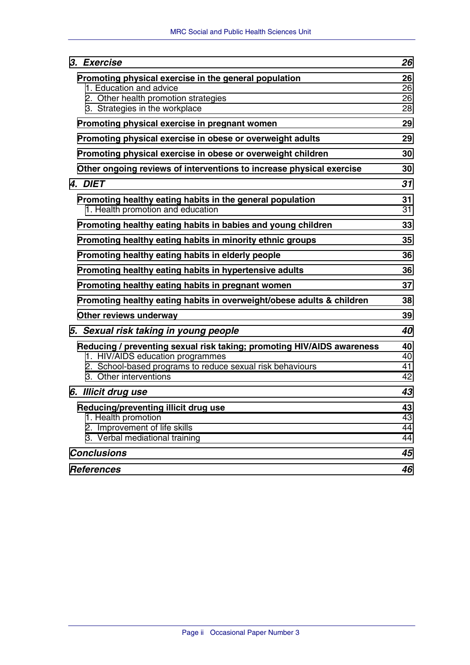| 3. Exercise                                                                                                                                                                                       | 26                   |
|---------------------------------------------------------------------------------------------------------------------------------------------------------------------------------------------------|----------------------|
| Promoting physical exercise in the general population<br>1. Education and advice<br>2. Other health promotion strategies<br>3. Strategies in the workplace                                        | 26<br>26<br>26<br>28 |
| Promoting physical exercise in pregnant women                                                                                                                                                     | 29                   |
| Promoting physical exercise in obese or overweight adults                                                                                                                                         | 29                   |
| Promoting physical exercise in obese or overweight children                                                                                                                                       | 30                   |
| Other ongoing reviews of interventions to increase physical exercise                                                                                                                              | 30                   |
| 4. DIET                                                                                                                                                                                           | 31                   |
| Promoting healthy eating habits in the general population<br>1. Health promotion and education                                                                                                    | 31<br>31             |
| Promoting healthy eating habits in babies and young children                                                                                                                                      | 33                   |
| Promoting healthy eating habits in minority ethnic groups                                                                                                                                         | 35                   |
| Promoting healthy eating habits in elderly people                                                                                                                                                 | 36                   |
| Promoting healthy eating habits in hypertensive adults                                                                                                                                            | 36                   |
| Promoting healthy eating habits in pregnant women                                                                                                                                                 | 37                   |
| Promoting healthy eating habits in overweight/obese adults & children                                                                                                                             |                      |
| Other reviews underway                                                                                                                                                                            | 39                   |
| 5. Sexual risk taking in young people                                                                                                                                                             | 40                   |
| Reducing / preventing sexual risk taking; promoting HIV/AIDS awareness<br>1. HIV/AIDS education programmes<br>2. School-based programs to reduce sexual risk behaviours<br>3. Other interventions | 40<br>40<br>41<br>42 |
| 6. Illicit drug use                                                                                                                                                                               | 43                   |
| Reducing/preventing illicit drug use<br>1. Health promotion<br>2. Improvement of life skills<br>3. Verbal mediational training                                                                    | 43<br>43<br>44<br>44 |
| <b>Conclusions</b>                                                                                                                                                                                | 45                   |
| <b>References</b>                                                                                                                                                                                 | 46                   |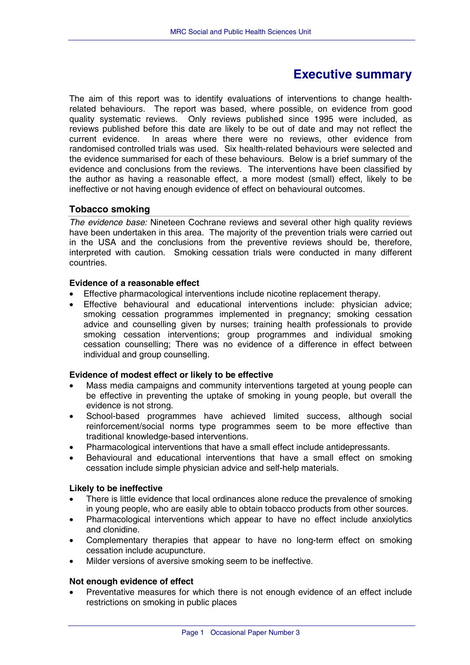## **Executive summary**

<span id="page-3-0"></span>The aim of this report was to identify evaluations of interventions to change healthrelated behaviours. The report was based, where possible, on evidence from good quality systematic reviews. Only reviews published since 1995 were included, as reviews published before this date are likely to be out of date and may not reflect the current evidence. In areas where there were no reviews, other evidence from randomised controlled trials was used. Six health-related behaviours were selected and the evidence summarised for each of these behaviours. Below is a brief summary of the evidence and conclusions from the reviews. The interventions have been classified by the author as having a reasonable effect, a more modest (small) effect, likely to be ineffective or not having enough evidence of effect on behavioural outcomes.

## **Tobacco smoking**

*The evidence base:* Nineteen Cochrane reviews and several other high quality reviews have been undertaken in this area. The majority of the prevention trials were carried out in the USA and the conclusions from the preventive reviews should be, therefore, interpreted with caution. Smoking cessation trials were conducted in many different countries.

## **Evidence of a reasonable effect**

- Effective pharmacological interventions include nicotine replacement therapy.
- Effective behavioural and educational interventions include: physician advice; smoking cessation programmes implemented in pregnancy; smoking cessation advice and counselling given by nurses; training health professionals to provide smoking cessation interventions; group programmes and individual smoking cessation counselling; There was no evidence of a difference in effect between individual and group counselling.

## **Evidence of modest effect or likely to be effective**

- Mass media campaigns and community interventions targeted at young people can be effective in preventing the uptake of smoking in young people, but overall the evidence is not strong.
- School-based programmes have achieved limited success, although social reinforcement/social norms type programmes seem to be more effective than traditional knowledge-based interventions.
- Pharmacological interventions that have a small effect include antidepressants.
- Behavioural and educational interventions that have a small effect on smoking cessation include simple physician advice and self-help materials.

## **Likely to be ineffective**

- There is little evidence that local ordinances alone reduce the prevalence of smoking in young people, who are easily able to obtain tobacco products from other sources.
- Pharmacological interventions which appear to have no effect include anxiolytics and clonidine.
- Complementary therapies that appear to have no long-term effect on smoking cessation include acupuncture.
- Milder versions of aversive smoking seem to be ineffective.

## **Not enough evidence of effect**

• Preventative measures for which there is not enough evidence of an effect include restrictions on smoking in public places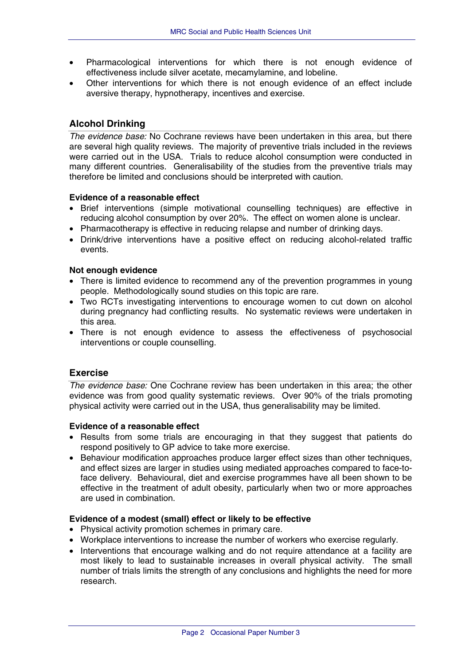- <span id="page-4-0"></span>• Pharmacological interventions for which there is not enough evidence of effectiveness include silver acetate, mecamylamine, and lobeline.
- Other interventions for which there is not enough evidence of an effect include aversive therapy, hypnotherapy, incentives and exercise.

## **Alcohol Drinking**

*The evidence base:* No Cochrane reviews have been undertaken in this area, but there are several high quality reviews. The majority of preventive trials included in the reviews were carried out in the USA. Trials to reduce alcohol consumption were conducted in many different countries. Generalisability of the studies from the preventive trials may therefore be limited and conclusions should be interpreted with caution.

#### **Evidence of a reasonable effect**

- Brief interventions (simple motivational counselling techniques) are effective in reducing alcohol consumption by over 20%. The effect on women alone is unclear.
- Pharmacotherapy is effective in reducing relapse and number of drinking days.
- Drink/drive interventions have a positive effect on reducing alcohol-related traffic events.

#### **Not enough evidence**

- There is limited evidence to recommend any of the prevention programmes in young people. Methodologically sound studies on this topic are rare.
- Two RCTs investigating interventions to encourage women to cut down on alcohol during pregnancy had conflicting results. No systematic reviews were undertaken in this area.
- There is not enough evidence to assess the effectiveness of psychosocial interventions or couple counselling.

## **Exercise**

*The evidence base:* One Cochrane review has been undertaken in this area; the other evidence was from good quality systematic reviews. Over 90% of the trials promoting physical activity were carried out in the USA, thus generalisability may be limited.

#### **Evidence of a reasonable effect**

- Results from some trials are encouraging in that they suggest that patients do respond positively to GP advice to take more exercise.
- Behaviour modification approaches produce larger effect sizes than other techniques, and effect sizes are larger in studies using mediated approaches compared to face-toface delivery. Behavioural, diet and exercise programmes have all been shown to be effective in the treatment of adult obesity, particularly when two or more approaches are used in combination.

#### **Evidence of a modest (small) effect or likely to be effective**

- Physical activity promotion schemes in primary care.
- Workplace interventions to increase the number of workers who exercise regularly.
- Interventions that encourage walking and do not require attendance at a facility are most likely to lead to sustainable increases in overall physical activity. The small number of trials limits the strength of any conclusions and highlights the need for more research.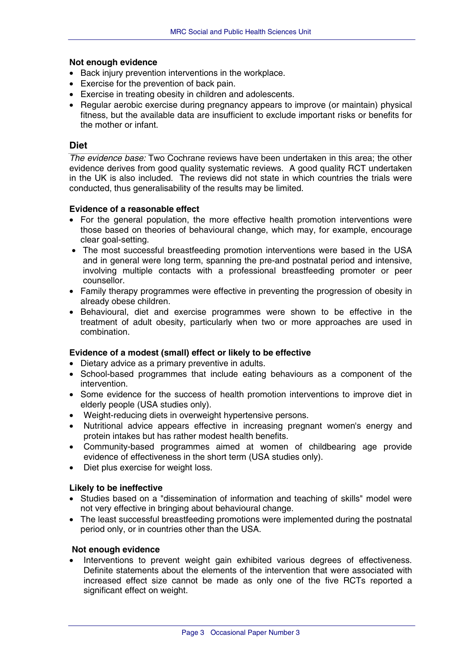#### <span id="page-5-0"></span>**Not enough evidence**

- Back injury prevention interventions in the workplace.
- Exercise for the prevention of back pain.
- Exercise in treating obesity in children and adolescents.
- Regular aerobic exercise during pregnancy appears to improve (or maintain) physical fitness, but the available data are insufficient to exclude important risks or benefits for the mother or infant.

## **Diet**

*The evidence base:* Two Cochrane reviews have been undertaken in this area; the other evidence derives from good quality systematic reviews. A good quality RCT undertaken in the UK is also included. The reviews did not state in which countries the trials were conducted, thus generalisability of the results may be limited.

#### **Evidence of a reasonable effect**

- For the general population, the more effective health promotion interventions were those based on theories of behavioural change, which may, for example, encourage clear goal-setting.
- The most successful breastfeeding promotion interventions were based in the USA and in general were long term, spanning the pre-and postnatal period and intensive, involving multiple contacts with a professional breastfeeding promoter or peer counsellor.
- Family therapy programmes were effective in preventing the progression of obesity in already obese children.
- Behavioural, diet and exercise programmes were shown to be effective in the treatment of adult obesity, particularly when two or more approaches are used in combination.

## **Evidence of a modest (small) effect or likely to be effective**

- Dietary advice as a primary preventive in adults.
- School-based programmes that include eating behaviours as a component of the intervention.
- Some evidence for the success of health promotion interventions to improve diet in elderly people (USA studies only).
- Weight-reducing diets in overweight hypertensive persons.
- Nutritional advice appears effective in increasing pregnant women's energy and protein intakes but has rather modest health benefits.
- Community-based programmes aimed at women of childbearing age provide evidence of effectiveness in the short term (USA studies only).
- Diet plus exercise for weight loss.

## **Likely to be ineffective**

- Studies based on a "dissemination of information and teaching of skills" model were not very effective in bringing about behavioural change.
- The least successful breastfeeding promotions were implemented during the postnatal period only, or in countries other than the USA.

#### **Not enough evidence**

Interventions to prevent weight gain exhibited various degrees of effectiveness. Definite statements about the elements of the intervention that were associated with increased effect size cannot be made as only one of the five RCTs reported a significant effect on weight.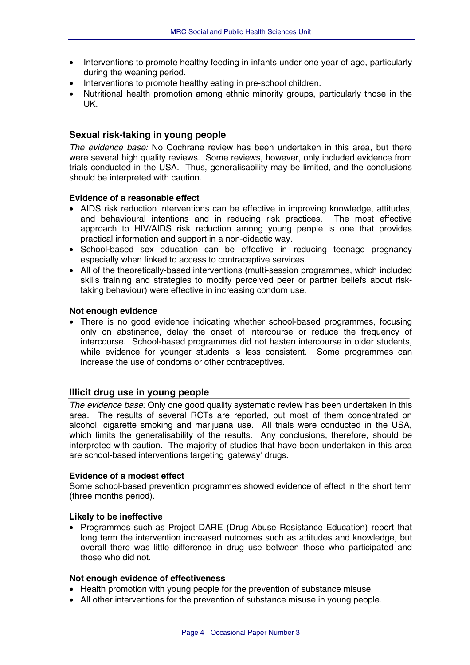- <span id="page-6-0"></span>• Interventions to promote healthy feeding in infants under one year of age, particularly during the weaning period.
- Interventions to promote healthy eating in pre-school children.
- Nutritional health promotion among ethnic minority groups, particularly those in the UK.

## **Sexual risk-taking in young people**

*The evidence base:* No Cochrane review has been undertaken in this area, but there were several high quality reviews. Some reviews, however, only included evidence from trials conducted in the USA. Thus, generalisability may be limited, and the conclusions should be interpreted with caution.

#### **Evidence of a reasonable effect**

- AIDS risk reduction interventions can be effective in improving knowledge, attitudes, and behavioural intentions and in reducing risk practices. The most effective approach to HIV/AIDS risk reduction among young people is one that provides practical information and support in a non-didactic way.
- School-based sex education can be effective in reducing teenage pregnancy especially when linked to access to contraceptive services.
- All of the theoretically-based interventions (multi-session programmes, which included skills training and strategies to modify perceived peer or partner beliefs about risktaking behaviour) were effective in increasing condom use.

#### **Not enough evidence**

• There is no good evidence indicating whether school-based programmes, focusing only on abstinence, delay the onset of intercourse or reduce the frequency of intercourse. School-based programmes did not hasten intercourse in older students, while evidence for younger students is less consistent. Some programmes can increase the use of condoms or other contraceptives.

## **Illicit drug use in young people**

*The evidence base:* Only one good quality systematic review has been undertaken in this area. The results of several RCTs are reported, but most of them concentrated on alcohol, cigarette smoking and marijuana use. All trials were conducted in the USA, which limits the generalisability of the results. Any conclusions, therefore, should be interpreted with caution. The majority of studies that have been undertaken in this area are school-based interventions targeting 'gateway' drugs.

#### **Evidence of a modest effect**

Some school-based prevention programmes showed evidence of effect in the short term (three months period).

#### **Likely to be ineffective**

• Programmes such as Project DARE (Drug Abuse Resistance Education) report that long term the intervention increased outcomes such as attitudes and knowledge, but overall there was little difference in drug use between those who participated and those who did not.

#### **Not enough evidence of effectiveness**

- Health promotion with young people for the prevention of substance misuse.
- All other interventions for the prevention of substance misuse in young people.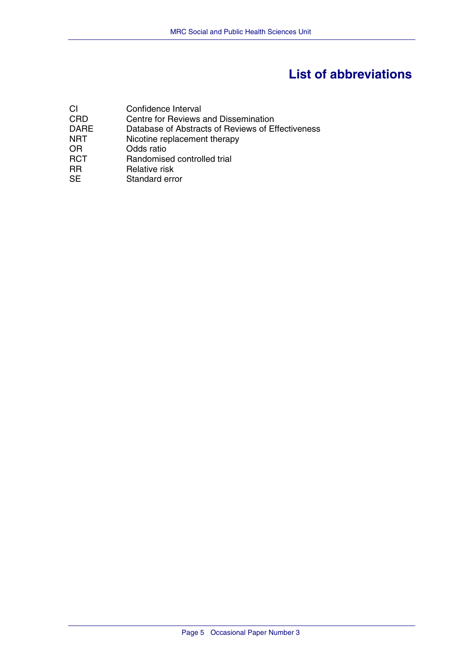# **List of abbreviations**

<span id="page-7-0"></span>

| СI          | Confidence Interval                               |
|-------------|---------------------------------------------------|
| <b>CRD</b>  | Centre for Reviews and Dissemination              |
| <b>DARE</b> | Database of Abstracts of Reviews of Effectiveness |
| NRT         | Nicotine replacement therapy                      |
| OR          | Odds ratio                                        |
| <b>RCT</b>  | Randomised controlled trial                       |
| <b>RR</b>   | Relative risk                                     |
| <b>SE</b>   | Standard error                                    |
|             |                                                   |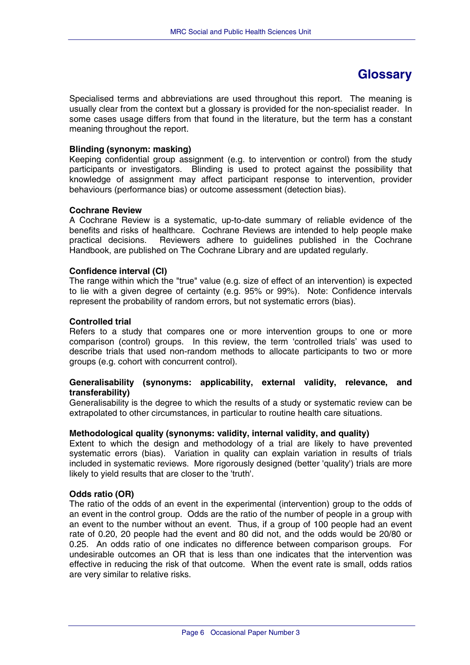## **Glossary**

<span id="page-8-0"></span>Specialised terms and abbreviations are used throughout this report. The meaning is usually clear from the context but a glossary is provided for the non-specialist reader. In some cases usage differs from that found in the literature, but the term has a constant meaning throughout the report.

#### **Blinding (synonym: masking)**

Keeping confidential group assignment (e.g. to intervention or control) from the study participants or investigators. Blinding is used to protect against the possibility that knowledge of assignment may affect participant response to intervention, provider behaviours (performance bias) or outcome assessment (detection bias).

#### **Cochrane Review**

A Cochrane Review is a systematic, up-to-date summary of reliable evidence of the benefits and risks of healthcare. Cochrane Reviews are intended to help people make practical decisions. Reviewers adhere to guidelines published in the Cochrane Handbook, are published on The Cochrane Library and are updated regularly.

#### **Confidence interval (CI)**

The range within which the "true" value (e.g. size of effect of an intervention) is expected to lie with a given degree of certainty (e.g. 95% or 99%). Note: Confidence intervals represent the probability of random errors, but not systematic errors (bias).

#### **Controlled trial**

Refers to a study that compares one or more intervention groups to one or more comparison (control) groups. In this review, the term 'controlled trials' was used to describe trials that used non-random methods to allocate participants to two or more groups (e.g. cohort with concurrent control).

#### **Generalisability (synonyms: applicability, external validity, relevance, and transferability)**

Generalisability is the degree to which the results of a study or systematic review can be extrapolated to other circumstances, in particular to routine health care situations.

#### **Methodological quality (synonyms: validity, internal validity, and quality)**

Extent to which the design and methodology of a trial are likely to have prevented systematic errors (bias). Variation in quality can explain variation in results of trials included in systematic reviews. More rigorously designed (better 'quality') trials are more likely to yield results that are closer to the 'truth'.

#### **Odds ratio (OR)**

The ratio of the odds of an event in the experimental (intervention) group to the odds of an event in the control group. Odds are the ratio of the number of people in a group with an event to the number without an event. Thus, if a group of 100 people had an event rate of 0.20, 20 people had the event and 80 did not, and the odds would be 20/80 or 0.25. An odds ratio of one indicates no difference between comparison groups. For undesirable outcomes an OR that is less than one indicates that the intervention was effective in reducing the risk of that outcome. When the event rate is small, odds ratios are very similar to relative risks.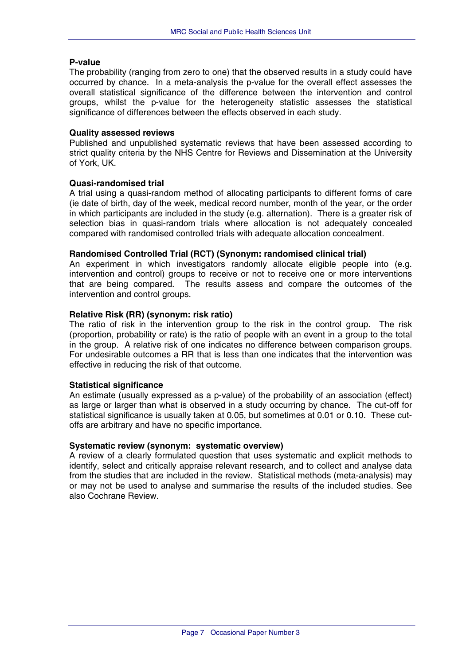#### **P-value**

The probability (ranging from zero to one) that the observed results in a study could have occurred by chance. In a meta-analysis the p-value for the overall effect assesses the overall statistical significance of the difference between the intervention and control groups, whilst the p-value for the heterogeneity statistic assesses the statistical significance of differences between the effects observed in each study.

#### **Quality assessed reviews**

Published and unpublished systematic reviews that have been assessed according to strict quality criteria by the NHS Centre for Reviews and Dissemination at the University of York, UK.

#### **Quasi-randomised trial**

A trial using a quasi-random method of allocating participants to different forms of care (ie date of birth, day of the week, medical record number, month of the year, or the order in which participants are included in the study (e.g. alternation). There is a greater risk of selection bias in quasi-random trials where allocation is not adequately concealed compared with randomised controlled trials with adequate allocation concealment.

#### **Randomised Controlled Trial (RCT) (Synonym: randomised clinical trial)**

An experiment in which investigators randomly allocate eligible people into (e.g. intervention and control) groups to receive or not to receive one or more interventions that are being compared. The results assess and compare the outcomes of the intervention and control groups.

#### **Relative Risk (RR) (synonym: risk ratio)**

The ratio of risk in the intervention group to the risk in the control group. The risk (proportion, probability or rate) is the ratio of people with an event in a group to the total in the group. A relative risk of one indicates no difference between comparison groups. For undesirable outcomes a RR that is less than one indicates that the intervention was effective in reducing the risk of that outcome.

#### **Statistical significance**

An estimate (usually expressed as a p-value) of the probability of an association (effect) as large or larger than what is observed in a study occurring by chance. The cut-off for statistical significance is usually taken at 0.05, but sometimes at 0.01 or 0.10. These cutoffs are arbitrary and have no specific importance.

#### **Systematic review (synonym: systematic overview)**

A review of a clearly formulated question that uses systematic and explicit methods to identify, select and critically appraise relevant research, and to collect and analyse data from the studies that are included in the review. Statistical methods (meta-analysis) may or may not be used to analyse and summarise the results of the included studies. See also Cochrane Review.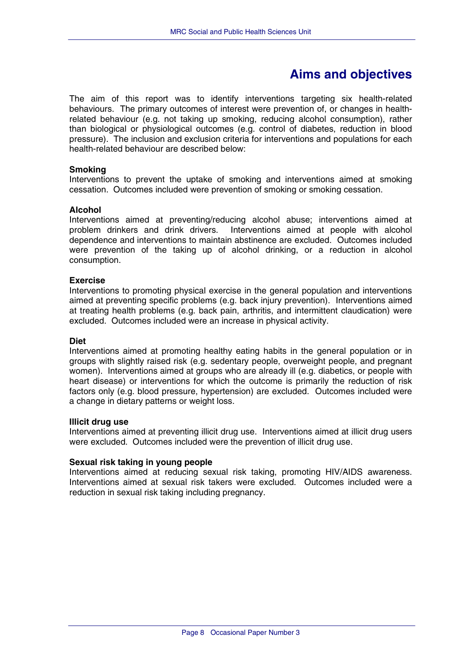## **Aims and objectives**

<span id="page-10-0"></span>The aim of this report was to identify interventions targeting six health-related behaviours. The primary outcomes of interest were prevention of, or changes in healthrelated behaviour (e.g. not taking up smoking, reducing alcohol consumption), rather than biological or physiological outcomes (e.g. control of diabetes, reduction in blood pressure). The inclusion and exclusion criteria for interventions and populations for each health-related behaviour are described below:

#### **Smoking**

Interventions to prevent the uptake of smoking and interventions aimed at smoking cessation. Outcomes included were prevention of smoking or smoking cessation.

#### **Alcohol**

Interventions aimed at preventing/reducing alcohol abuse; interventions aimed at problem drinkers and drink drivers. Interventions aimed at people with alcohol dependence and interventions to maintain abstinence are excluded. Outcomes included were prevention of the taking up of alcohol drinking, or a reduction in alcohol consumption.

#### **Exercise**

Interventions to promoting physical exercise in the general population and interventions aimed at preventing specific problems (e.g. back injury prevention). Interventions aimed at treating health problems (e.g. back pain, arthritis, and intermittent claudication) were excluded. Outcomes included were an increase in physical activity.

#### **Diet**

Interventions aimed at promoting healthy eating habits in the general population or in groups with slightly raised risk (e.g. sedentary people, overweight people, and pregnant women). Interventions aimed at groups who are already ill (e.g. diabetics, or people with heart disease) or interventions for which the outcome is primarily the reduction of risk factors only (e.g. blood pressure, hypertension) are excluded. Outcomes included were a change in dietary patterns or weight loss.

#### **Illicit drug use**

Interventions aimed at preventing illicit drug use. Interventions aimed at illicit drug users were excluded. Outcomes included were the prevention of illicit drug use.

## **Sexual risk taking in young people**

Interventions aimed at reducing sexual risk taking, promoting HIV/AIDS awareness. Interventions aimed at sexual risk takers were excluded. Outcomes included were a reduction in sexual risk taking including pregnancy.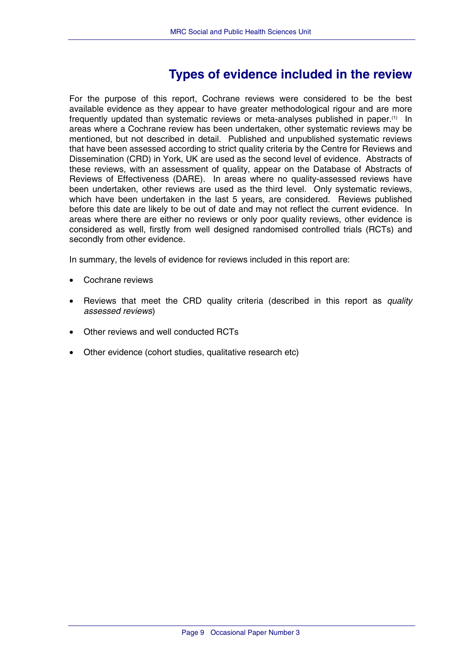## **Types of evidence included in the review**

<span id="page-11-0"></span>For the purpose of this report, Cochrane reviews were considered to be the best available evidence as they appear to have greater methodological rigour and are more frequently updated than systematic reviews or meta-analyses published in paper.(1) In areas where a Cochrane review has been undertaken, other systematic reviews may be mentioned, but not described in detail. Published and unpublished systematic reviews that have been assessed according to strict quality criteria by the Centre for Reviews and Dissemination (CRD) in York, UK are used as the second level of evidence. Abstracts of these reviews, with an assessment of quality, appear on the Database of Abstracts of Reviews of Effectiveness (DARE). In areas where no quality-assessed reviews have been undertaken, other reviews are used as the third level. Only systematic reviews, which have been undertaken in the last 5 years, are considered. Reviews published before this date are likely to be out of date and may not reflect the current evidence. In areas where there are either no reviews or only poor quality reviews, other evidence is considered as well, firstly from well designed randomised controlled trials (RCTs) and secondly from other evidence.

In summary, the levels of evidence for reviews included in this report are:

- Cochrane reviews
- Reviews that meet the CRD quality criteria (described in this report as *quality assessed reviews*)
- Other reviews and well conducted RCTs
- Other evidence (cohort studies, qualitative research etc)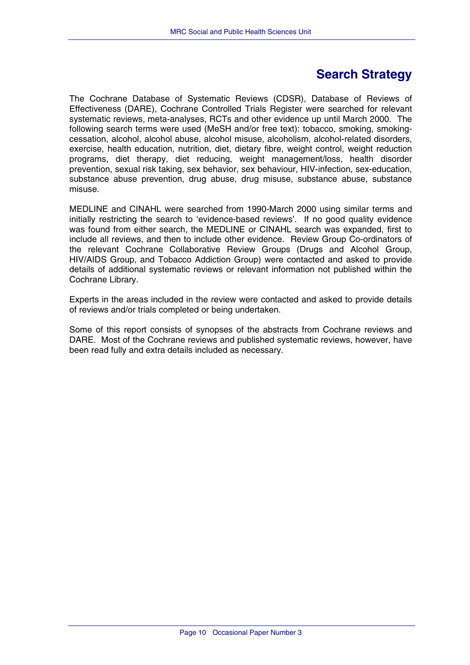## **Search Strategy**

<span id="page-12-0"></span>The Cochrane Database of Systematic Reviews (CDSR), Database of Reviews of Effectiveness (DARE), Cochrane Controlled Trials Register were searched for relevant systematic reviews, meta-analyses, RCTs and other evidence up until March 2000. The following search terms were used (MeSH and/or free text): tobacco, smoking, smokingcessation, alcohol, alcohol abuse, alcohol misuse, alcoholism, alcohol-related disorders, exercise, health education, nutrition, diet, dietary fibre, weight control, weight reduction programs, diet therapy, diet reducing, weight management/loss, health disorder prevention, sexual risk taking, sex behavior, sex behaviour, HIV-infection, sex-education, substance abuse prevention, drug abuse, drug misuse, substance abuse, substance misuse.

MEDLINE and CINAHL were searched from 1990-March 2000 using similar terms and initially restricting the search to 'evidence-based reviews'. If no good quality evidence was found from either search, the MEDLINE or CINAHL search was expanded, first to include all reviews, and then to include other evidence. Review Group Co-ordinators of the relevant Cochrane Collaborative Review Groups (Drugs and Alcohol Group, HIV/AIDS Group, and Tobacco Addiction Group) were contacted and asked to provide details of additional systematic reviews or relevant information not published within the Cochrane Library.

Experts in the areas included in the review were contacted and asked to provide details of reviews and/or trials completed or being undertaken.

Some of this report consists of synopses of the abstracts from Cochrane reviews and DARE. Most of the Cochrane reviews and published systematic reviews, however, have been read fully and extra details included as necessary.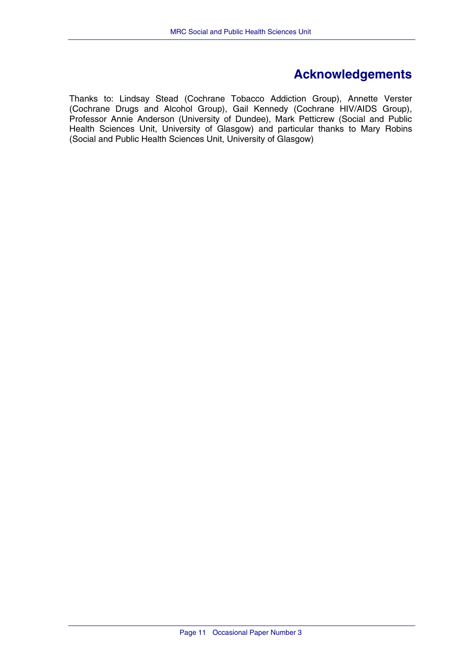## **Acknowledgements**

<span id="page-13-0"></span>Thanks to: Lindsay Stead (Cochrane Tobacco Addiction Group), Annette Verster (Cochrane Drugs and Alcohol Group), Gail Kennedy (Cochrane HIV/AIDS Group), Professor Annie Anderson (University of Dundee), Mark Petticrew (Social and Public Health Sciences Unit, University of Glasgow) and particular thanks to Mary Robins (Social and Public Health Sciences Unit, University of Glasgow)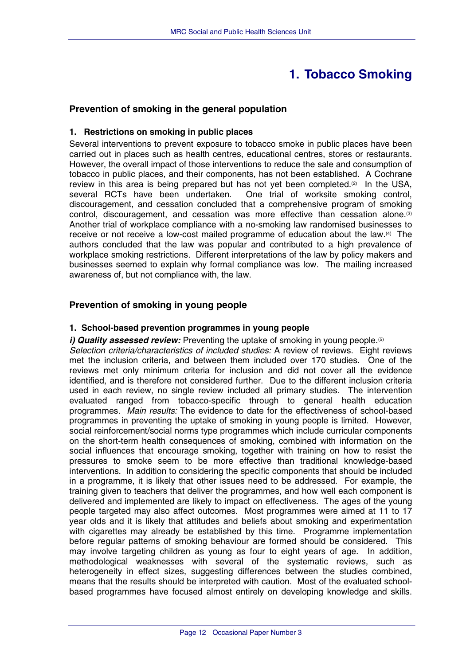## **1. Tobacco Smoking**

## <span id="page-14-0"></span>**Prevention of smoking in the general population**

#### **1. Restrictions on smoking in public places**

Several interventions to prevent exposure to tobacco smoke in public places have been carried out in places such as health centres, educational centres, stores or restaurants. However, the overall impact of those interventions to reduce the sale and consumption of tobacco in public places, and their components, has not been established. A Cochrane review in this area is being prepared but has not yet been completed. $(2)$  In the USA, several RCTs have been undertaken. One trial of worksite smoking control, discouragement, and cessation concluded that a comprehensive program of smoking control, discouragement, and cessation was more effective than cessation alone.(3) Another trial of workplace compliance with a no-smoking law randomised businesses to receive or not receive a low-cost mailed programme of education about the law.(4) The authors concluded that the law was popular and contributed to a high prevalence of workplace smoking restrictions. Different interpretations of the law by policy makers and businesses seemed to explain why formal compliance was low. The mailing increased awareness of, but not compliance with, the law.

## **Prevention of smoking in young people**

#### **1. School-based prevention programmes in young people**

*i) Quality assessed review:* Preventing the uptake of smoking in young people.<sup>(5)</sup>

*Selection criteria/characteristics of included studies:* A review of reviews. Eight reviews met the inclusion criteria, and between them included over 170 studies. One of the reviews met only minimum criteria for inclusion and did not cover all the evidence identified, and is therefore not considered further. Due to the different inclusion criteria used in each review, no single review included all primary studies. The intervention evaluated ranged from tobacco-specific through to general health education programmes. *Main results:* The evidence to date for the effectiveness of school-based programmes in preventing the uptake of smoking in young people is limited. However, social reinforcement/social norms type programmes which include curricular components on the short-term health consequences of smoking, combined with information on the social influences that encourage smoking, together with training on how to resist the pressures to smoke seem to be more effective than traditional knowledge-based interventions. In addition to considering the specific components that should be included in a programme, it is likely that other issues need to be addressed. For example, the training given to teachers that deliver the programmes, and how well each component is delivered and implemented are likely to impact on effectiveness. The ages of the young people targeted may also affect outcomes. Most programmes were aimed at 11 to 17 year olds and it is likely that attitudes and beliefs about smoking and experimentation with cigarettes may already be established by this time. Programme implementation before regular patterns of smoking behaviour are formed should be considered. This may involve targeting children as young as four to eight years of age. In addition, methodological weaknesses with several of the systematic reviews, such as heterogeneity in effect sizes, suggesting differences between the studies combined, means that the results should be interpreted with caution. Most of the evaluated schoolbased programmes have focused almost entirely on developing knowledge and skills.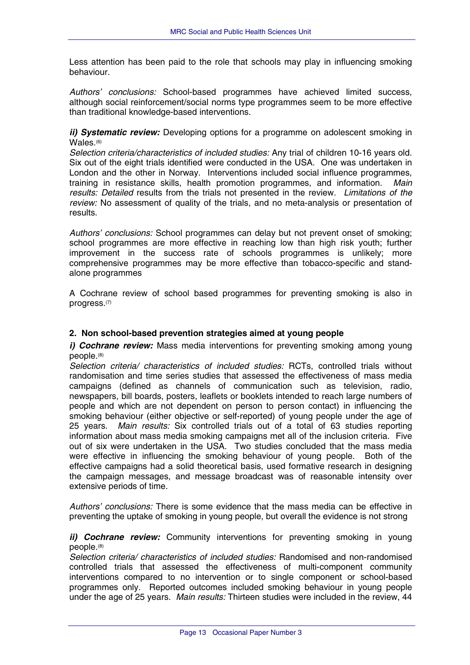<span id="page-15-0"></span>Less attention has been paid to the role that schools may play in influencing smoking behaviour.

*Authors' conclusions:* School-based programmes have achieved limited success, although social reinforcement/social norms type programmes seem to be more effective than traditional knowledge-based interventions.

*ii) Systematic review:* Developing options for a programme on adolescent smoking in Wales.<sup>(6)</sup>

*Selection criteria/characteristics of included studies:* Any trial of children 10-16 years old. Six out of the eight trials identified were conducted in the USA. One was undertaken in London and the other in Norway. Interventions included social influence programmes, training in resistance skills, health promotion programmes, and information. *Main results: Detailed* results from the trials not presented in the review. *Limitations of the review:* No assessment of quality of the trials, and no meta-analysis or presentation of results.

*Authors' conclusions:* School programmes can delay but not prevent onset of smoking; school programmes are more effective in reaching low than high risk youth; further improvement in the success rate of schools programmes is unlikely; more comprehensive programmes may be more effective than tobacco-specific and standalone programmes

A Cochrane review of school based programmes for preventing smoking is also in progress.(7)

## **2. Non school-based prevention strategies aimed at young people**

*i) Cochrane review:* Mass media interventions for preventing smoking among young people.(8)

*Selection criteria/ characteristics of included studies:* RCTs, controlled trials without randomisation and time series studies that assessed the effectiveness of mass media campaigns (defined as channels of communication such as television, radio, newspapers, bill boards, posters, leaflets or booklets intended to reach large numbers of people and which are not dependent on person to person contact) in influencing the smoking behaviour (either objective or self-reported) of young people under the age of 25 years. *Main results:* Six controlled trials out of a total of 63 studies reporting information about mass media smoking campaigns met all of the inclusion criteria. Five out of six were undertaken in the USA. Two studies concluded that the mass media were effective in influencing the smoking behaviour of young people. Both of the effective campaigns had a solid theoretical basis, used formative research in designing the campaign messages, and message broadcast was of reasonable intensity over extensive periods of time.

*Authors' conclusions:* There is some evidence that the mass media can be effective in preventing the uptake of smoking in young people, but overall the evidence is not strong

*ii) Cochrane review:* Community interventions for preventing smoking in young people.(8)

*Selection criteria/ characteristics of included studies:* Randomised and non-randomised controlled trials that assessed the effectiveness of multi-component community interventions compared to no intervention or to single component or school-based programmes only. Reported outcomes included smoking behaviour in young people under the age of 25 years. *Main results:* Thirteen studies were included in the review, 44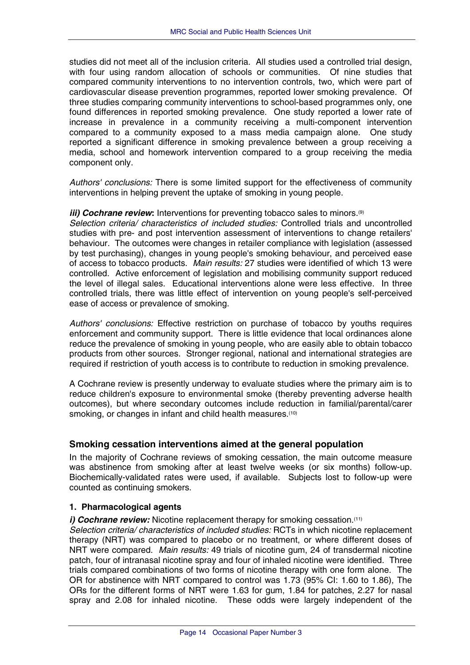<span id="page-16-0"></span>studies did not meet all of the inclusion criteria. All studies used a controlled trial design, with four using random allocation of schools or communities. Of nine studies that compared community interventions to no intervention controls, two, which were part of cardiovascular disease prevention programmes, reported lower smoking prevalence. Of three studies comparing community interventions to school-based programmes only, one found differences in reported smoking prevalence. One study reported a lower rate of increase in prevalence in a community receiving a multi-component intervention compared to a community exposed to a mass media campaign alone. One study reported a significant difference in smoking prevalence between a group receiving a media, school and homework intervention compared to a group receiving the media component only.

*Authors' conclusions:* There is some limited support for the effectiveness of community interventions in helping prevent the uptake of smoking in young people.

#### *iii) Cochrane review*: Interventions for preventing tobacco sales to minors.<sup>(9)</sup>

*Selection criteria/ characteristics of included studies:* Controlled trials and uncontrolled studies with pre- and post intervention assessment of interventions to change retailers' behaviour. The outcomes were changes in retailer compliance with legislation (assessed by test purchasing), changes in young people's smoking behaviour, and perceived ease of access to tobacco products. *Main results:* 27 studies were identified of which 13 were controlled. Active enforcement of legislation and mobilising community support reduced the level of illegal sales. Educational interventions alone were less effective. In three controlled trials, there was little effect of intervention on young people's self-perceived ease of access or prevalence of smoking.

*Authors' conclusions:* Effective restriction on purchase of tobacco by youths requires enforcement and community support. There is little evidence that local ordinances alone reduce the prevalence of smoking in young people, who are easily able to obtain tobacco products from other sources. Stronger regional, national and international strategies are required if restriction of youth access is to contribute to reduction in smoking prevalence.

A Cochrane review is presently underway to evaluate studies where the primary aim is to reduce children's exposure to environmental smoke (thereby preventing adverse health outcomes), but where secondary outcomes include reduction in familial/parental/carer smoking, or changes in infant and child health measures.<sup>(10)</sup>

## **Smoking cessation interventions aimed at the general population**

In the majority of Cochrane reviews of smoking cessation, the main outcome measure was abstinence from smoking after at least twelve weeks (or six months) follow-up. Biochemically-validated rates were used, if available. Subjects lost to follow-up were counted as continuing smokers.

## **1. Pharmacological agents**

*i)* Cochrane review: Nicotine replacement therapy for smoking cessation.<sup>(11)</sup>

*Selection criteria/ characteristics of included studies:* RCTs in which nicotine replacement therapy (NRT) was compared to placebo or no treatment, or where different doses of NRT were compared. *Main results:* 49 trials of nicotine gum, 24 of transdermal nicotine patch, four of intranasal nicotine spray and four of inhaled nicotine were identified. Three trials compared combinations of two forms of nicotine therapy with one form alone. The OR for abstinence with NRT compared to control was 1.73 (95% CI: 1.60 to 1.86), The ORs for the different forms of NRT were 1.63 for gum, 1.84 for patches, 2.27 for nasal spray and 2.08 for inhaled nicotine. These odds were largely independent of the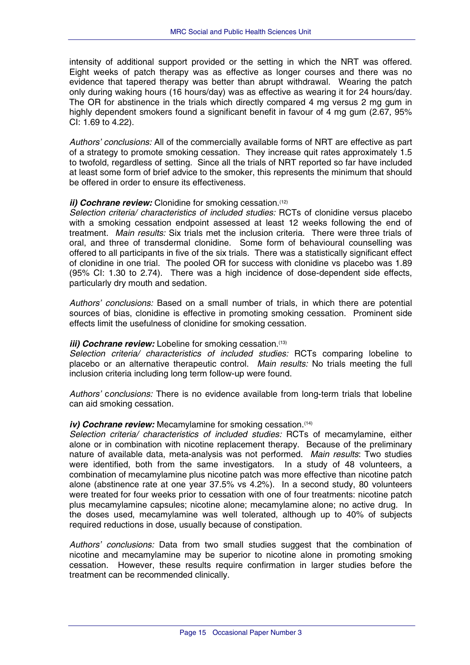intensity of additional support provided or the setting in which the NRT was offered. Eight weeks of patch therapy was as effective as longer courses and there was no evidence that tapered therapy was better than abrupt withdrawal. Wearing the patch only during waking hours (16 hours/day) was as effective as wearing it for 24 hours/day. The OR for abstinence in the trials which directly compared 4 mg versus 2 mg gum in highly dependent smokers found a significant benefit in favour of 4 mg gum (2.67, 95%) CI: 1.69 to 4.22).

*Authors' conclusions:* All of the commercially available forms of NRT are effective as part of a strategy to promote smoking cessation. They increase quit rates approximately 1.5 to twofold, regardless of setting. Since all the trials of NRT reported so far have included at least some form of brief advice to the smoker, this represents the minimum that should be offered in order to ensure its effectiveness.

#### *ii) Cochrane review:* Clonidine for smoking cessation.<sup>(12)</sup>

*Selection criteria/ characteristics of included studies:* RCTs of clonidine versus placebo with a smoking cessation endpoint assessed at least 12 weeks following the end of treatment. *Main results:* Six trials met the inclusion criteria. There were three trials of oral, and three of transdermal clonidine. Some form of behavioural counselling was offered to all participants in five of the six trials. There was a statistically significant effect of clonidine in one trial. The pooled OR for success with clonidine vs placebo was 1.89 (95% CI: 1.30 to 2.74). There was a high incidence of dose-dependent side effects, particularly dry mouth and sedation.

*Authors' conclusions:* Based on a small number of trials, in which there are potential sources of bias, clonidine is effective in promoting smoking cessation. Prominent side effects limit the usefulness of clonidine for smoking cessation.

#### *iii) Cochrane review:* Lobeline for smoking cessation.<sup>(13)</sup>

*Selection criteria/ characteristics of included studies:* RCTs comparing lobeline to placebo or an alternative therapeutic control. *Main results:* No trials meeting the full inclusion criteria including long term follow-up were found.

*Authors'* c*onclusions:* There is no evidence available from long-term trials that lobeline can aid smoking cessation.

#### *iv) Cochrane review:* Mecamylamine for smoking cessation.<sup>(14)</sup>

*Selection criteria/ characteristics of included studies:* RCTs of mecamylamine, either alone or in combination with nicotine replacement therapy. Because of the preliminary nature of available data, meta-analysis was not performed. *Main results*: Two studies were identified, both from the same investigators. In a study of 48 volunteers, a combination of mecamylamine plus nicotine patch was more effective than nicotine patch alone (abstinence rate at one year 37.5% vs 4.2%). In a second study, 80 volunteers were treated for four weeks prior to cessation with one of four treatments: nicotine patch plus mecamylamine capsules; nicotine alone; mecamylamine alone; no active drug. In the doses used, mecamylamine was well tolerated, although up to 40% of subjects required reductions in dose, usually because of constipation.

*Authors' conclusions:* Data from two small studies suggest that the combination of nicotine and mecamylamine may be superior to nicotine alone in promoting smoking cessation. However, these results require confirmation in larger studies before the treatment can be recommended clinically.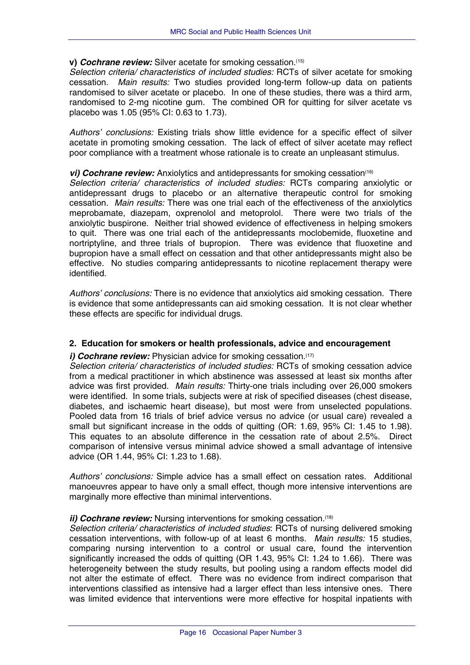#### <span id="page-18-0"></span>**v)** *Cochrane review:* Silver acetate for smoking cessation.(15)

*Selection criteria/ characteristics of included studies:* RCTs of silver acetate for smoking cessation. *Main results:* Two studies provided long-term follow-up data on patients randomised to silver acetate or placebo. In one of these studies, there was a third arm, randomised to 2-mg nicotine gum. The combined OR for quitting for silver acetate vs placebo was 1.05 (95% CI: 0.63 to 1.73).

*Authors' conclusions:* Existing trials show little evidence for a specific effect of silver acetate in promoting smoking cessation. The lack of effect of silver acetate may reflect poor compliance with a treatment whose rationale is to create an unpleasant stimulus.

#### *vi) Cochrane review:* Anxiolytics and antidepressants for smoking cessation<sup>(16)</sup>

*Selection criteria/ characteristics of included studies:* RCTs comparing anxiolytic or antidepressant drugs to placebo or an alternative therapeutic control for smoking cessation. *Main results:* There was one trial each of the effectiveness of the anxiolytics meprobamate, diazepam, oxprenolol and metoprolol. There were two trials of the anxiolytic buspirone. Neither trial showed evidence of effectiveness in helping smokers to quit. There was one trial each of the antidepressants moclobemide, fluoxetine and nortriptyline, and three trials of bupropion. There was evidence that fluoxetine and bupropion have a small effect on cessation and that other antidepressants might also be effective. No studies comparing antidepressants to nicotine replacement therapy were identified.

*Authors' conclusions:* There is no evidence that anxiolytics aid smoking cessation. There is evidence that some antidepressants can aid smoking cessation. It is not clear whether these effects are specific for individual drugs.

## **2. Education for smokers or health professionals, advice and encouragement**

#### *i) Cochrane review:* Physician advice for smoking cessation.<sup>(17)</sup>

*Selection criteria/ characteristics of included studies:* RCTs of smoking cessation advice from a medical practitioner in which abstinence was assessed at least six months after advice was first provided. *Main results:* Thirty-one trials including over 26,000 smokers were identified. In some trials, subjects were at risk of specified diseases (chest disease, diabetes, and ischaemic heart disease), but most were from unselected populations. Pooled data from 16 trials of brief advice versus no advice (or usual care) revealed a small but significant increase in the odds of quitting (OR: 1.69, 95% CI: 1.45 to 1.98). This equates to an absolute difference in the cessation rate of about 2.5%. Direct comparison of intensive versus minimal advice showed a small advantage of intensive advice (OR 1.44, 95% CI: 1.23 to 1.68).

*Authors' conclusions:* Simple advice has a small effect on cessation rates. Additional manoeuvres appear to have only a small effect, though more intensive interventions are marginally more effective than minimal interventions.

#### *ii) Cochrane review:* Nursing interventions for smoking cessation.<sup>(18)</sup>

*Selection criteria/ characteristics of included studies*: RCTs of nursing delivered smoking cessation interventions, with follow-up of at least 6 months. *Main results:* 15 studies, comparing nursing intervention to a control or usual care, found the intervention significantly increased the odds of quitting (OR 1.43, 95% CI: 1.24 to 1.66). There was heterogeneity between the study results, but pooling using a random effects model did not alter the estimate of effect. There was no evidence from indirect comparison that interventions classified as intensive had a larger effect than less intensive ones. There was limited evidence that interventions were more effective for hospital inpatients with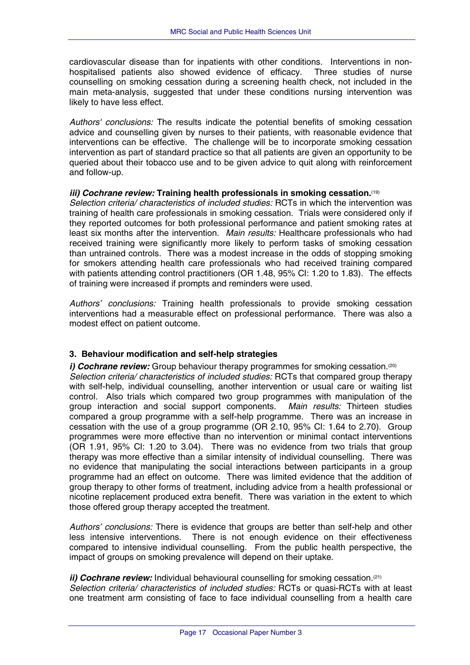<span id="page-19-0"></span>cardiovascular disease than for inpatients with other conditions. Interventions in nonhospitalised patients also showed evidence of efficacy. Three studies of nurse counselling on smoking cessation during a screening health check, not included in the main meta-analysis, suggested that under these conditions nursing intervention was likely to have less effect.

*Authors' conclusions:* The results indicate the potential benefits of smoking cessation advice and counselling given by nurses to their patients, with reasonable evidence that interventions can be effective. The challenge will be to incorporate smoking cessation intervention as part of standard practice so that all patients are given an opportunity to be queried about their tobacco use and to be given advice to quit along with reinforcement and follow-up.

#### *iii) Cochrane review:* **Training health professionals in smoking cessation.**(19)

*Selection criteria/ characteristics of included studies:* RCTs in which the intervention was training of health care professionals in smoking cessation. Trials were considered only if they reported outcomes for both professional performance and patient smoking rates at least six months after the intervention. *Main results:* Healthcare professionals who had received training were significantly more likely to perform tasks of smoking cessation than untrained controls. There was a modest increase in the odds of stopping smoking for smokers attending health care professionals who had received training compared with patients attending control practitioners (OR 1.48, 95% CI: 1.20 to 1.83). The effects of training were increased if prompts and reminders were used.

*Authors' conclusions:* Training health professionals to provide smoking cessation interventions had a measurable effect on professional performance. There was also a modest effect on patient outcome.

## **3. Behaviour modification and self-help strategies**

*i) Cochrane review:* Group behaviour therapy programmes for smoking cessation.<sup>(20)</sup> *Selection criteria/ characteristics of included studies:* RCTs that compared group therapy with self-help, individual counselling, another intervention or usual care or waiting list control. Also trials which compared two group programmes with manipulation of the group interaction and social support components. *Main results:* Thirteen studies compared a group programme with a self-help programme. There was an increase in cessation with the use of a group programme (OR 2.10, 95% CI: 1.64 to 2.70). Group programmes were more effective than no intervention or minimal contact interventions (OR 1.91, 95% CI: 1.20 to 3.04). There was no evidence from two trials that group therapy was more effective than a similar intensity of individual counselling. There was no evidence that manipulating the social interactions between participants in a group programme had an effect on outcome. There was limited evidence that the addition of group therapy to other forms of treatment, including advice from a health professional or nicotine replacement produced extra benefit. There was variation in the extent to which those offered group therapy accepted the treatment.

*Authors' conclusions:* There is evidence that groups are better than self-help and other less intensive interventions. There is not enough evidence on their effectiveness compared to intensive individual counselling. From the public health perspective, the impact of groups on smoking prevalence will depend on their uptake.

## *ii) Cochrane review:* Individual behavioural counselling for smoking cessation.<sup>(21)</sup>

*Selection criteria/ characteristics of included studies:* RCTs or quasi-RCTs with at least one treatment arm consisting of face to face individual counselling from a health care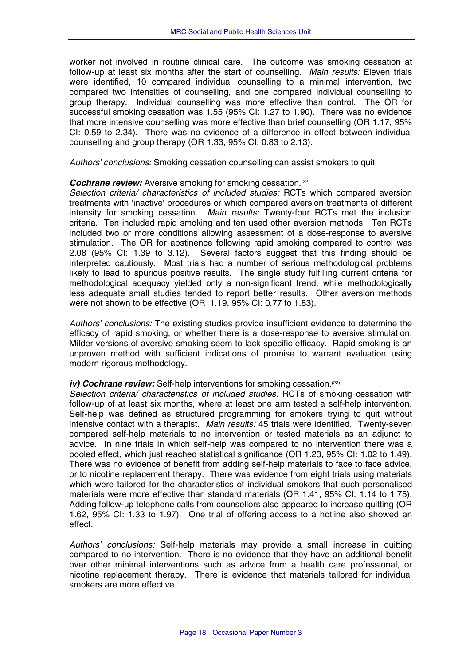worker not involved in routine clinical care. The outcome was smoking cessation at follow-up at least six months after the start of counselling. *Main results:* Eleven trials were identified, 10 compared individual counselling to a minimal intervention, two compared two intensities of counselling, and one compared individual counselling to group therapy. Individual counselling was more effective than control. The OR for successful smoking cessation was 1.55 (95% CI: 1.27 to 1.90). There was no evidence that more intensive counselling was more effective than brief counselling (OR 1.17, 95% CI: 0.59 to 2.34). There was no evidence of a difference in effect between individual counselling and group therapy (OR 1.33, 95% CI: 0.83 to 2.13).

*Authors' conclusions:* Smoking cessation counselling can assist smokers to quit.

#### *Cochrane review:* Aversive smoking for smoking cessation.<sup>(22)</sup>

*Selection criteria/ characteristics of included studies:* RCTs which compared aversion treatments with 'inactive' procedures or which compared aversion treatments of different intensity for smoking cessation. *Main results:* Twenty-four RCTs met the inclusion criteria. Ten included rapid smoking and ten used other aversion methods. Ten RCTs included two or more conditions allowing assessment of a dose-response to aversive stimulation. The OR for abstinence following rapid smoking compared to control was 2.08 (95% CI: 1.39 to 3.12). Several factors suggest that this finding should be interpreted cautiously. Most trials had a number of serious methodological problems likely to lead to spurious positive results. The single study fulfilling current criteria for methodological adequacy yielded only a non-significant trend, while methodologically less adequate small studies tended to report better results. Other aversion methods were not shown to be effective (OR 1.19, 95% CI: 0.77 to 1.83).

*Authors' conclusions:* The existing studies provide insufficient evidence to determine the efficacy of rapid smoking, or whether there is a dose-response to aversive stimulation. Milder versions of aversive smoking seem to lack specific efficacy. Rapid smoking is an unproven method with sufficient indications of promise to warrant evaluation using modern rigorous methodology.

## *iv) Cochrane review:* Self-help interventions for smoking cessation.<sup>(23)</sup>

*Selection criteria/ characteristics of included studies:* RCTs of smoking cessation with follow-up of at least six months, where at least one arm tested a self-help intervention. Self-help was defined as structured programming for smokers trying to quit without intensive contact with a therapist. *Main results:* 45 trials were identified. Twenty-seven compared self-help materials to no intervention or tested materials as an adjunct to advice. In nine trials in which self-help was compared to no intervention there was a pooled effect, which just reached statistical significance (OR 1.23, 95% CI: 1.02 to 1.49). There was no evidence of benefit from adding self-help materials to face to face advice, or to nicotine replacement therapy. There was evidence from eight trials using materials which were tailored for the characteristics of individual smokers that such personalised materials were more effective than standard materials (OR 1.41, 95% CI: 1.14 to 1.75). Adding follow-up telephone calls from counsellors also appeared to increase quitting (OR 1.62, 95% CI: 1.33 to 1.97). One trial of offering access to a hotline also showed an effect.

*Authors' conclusions:* Self-help materials may provide a small increase in quitting compared to no intervention. There is no evidence that they have an additional benefit over other minimal interventions such as advice from a health care professional, or nicotine replacement therapy. There is evidence that materials tailored for individual smokers are more effective.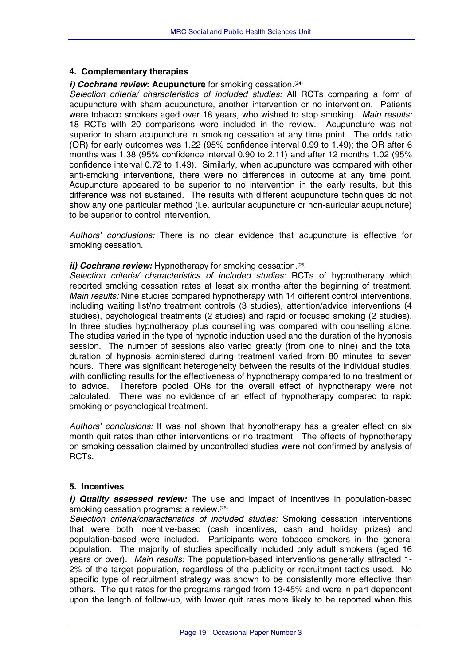#### <span id="page-21-0"></span>**4. Complementary therapies**

#### *i) Cochrane review*: Acupuncture for smoking cessation.<sup>(24)</sup>

*Selection criteria/ characteristics of included studies:* All RCTs comparing a form of acupuncture with sham acupuncture, another intervention or no intervention. Patients were tobacco smokers aged over 18 years, who wished to stop smoking. *Main results:* 18 RCTs with 20 comparisons were included in the review. Acupuncture was not superior to sham acupuncture in smoking cessation at any time point. The odds ratio (OR) for early outcomes was 1.22 (95% confidence interval 0.99 to 1.49); the OR after 6 months was 1.38 (95% confidence interval 0.90 to 2.11) and after 12 months 1.02 (95% confidence interval 0.72 to 1.43). Similarly, when acupuncture was compared with other anti-smoking interventions, there were no differences in outcome at any time point. Acupuncture appeared to be superior to no intervention in the early results, but this difference was not sustained. The results with different acupuncture techniques do not show any one particular method (i.e. auricular acupuncture or non-auricular acupuncture) to be superior to control intervention.

*Authors' conclusions:* There is no clear evidence that acupuncture is effective for smoking cessation.

#### *ii) Cochrane review:* Hypnotherapy for smoking cessation.<sup>(25)</sup>

*Selection criteria/ characteristics of included studies:* RCTs of hypnotherapy which reported smoking cessation rates at least six months after the beginning of treatment. *Main results:* Nine studies compared hypnotherapy with 14 different control interventions, including waiting list/no treatment controls (3 studies), attention/advice interventions (4 studies), psychological treatments (2 studies) and rapid or focused smoking (2 studies). In three studies hypnotherapy plus counselling was compared with counselling alone. The studies varied in the type of hypnotic induction used and the duration of the hypnosis session. The number of sessions also varied greatly (from one to nine) and the total duration of hypnosis administered during treatment varied from 80 minutes to seven hours. There was significant heterogeneity between the results of the individual studies, with conflicting results for the effectiveness of hypnotherapy compared to no treatment or to advice. Therefore pooled ORs for the overall effect of hypnotherapy were not calculated. There was no evidence of an effect of hypnotherapy compared to rapid smoking or psychological treatment.

*Authors' conclusions:* It was not shown that hypnotherapy has a greater effect on six month quit rates than other interventions or no treatment. The effects of hypnotherapy on smoking cessation claimed by uncontrolled studies were not confirmed by analysis of RCTs.

#### **5. Incentives**

*i) Quality assessed review:* The use and impact of incentives in population-based smoking cessation programs: a review.<sup>(26)</sup>

*Selection criteria/characteristics of included studies:* Smoking cessation interventions that were both incentive-based (cash incentives, cash and holiday prizes) and population-based were included. Participants were tobacco smokers in the general population. The majority of studies specifically included only adult smokers (aged 16 years or over). *Main results:* The population-based interventions generally attracted 1- 2% of the target population, regardless of the publicity or recruitment tactics used. No specific type of recruitment strategy was shown to be consistently more effective than others. The quit rates for the programs ranged from 13-45% and were in part dependent upon the length of follow-up, with lower quit rates more likely to be reported when this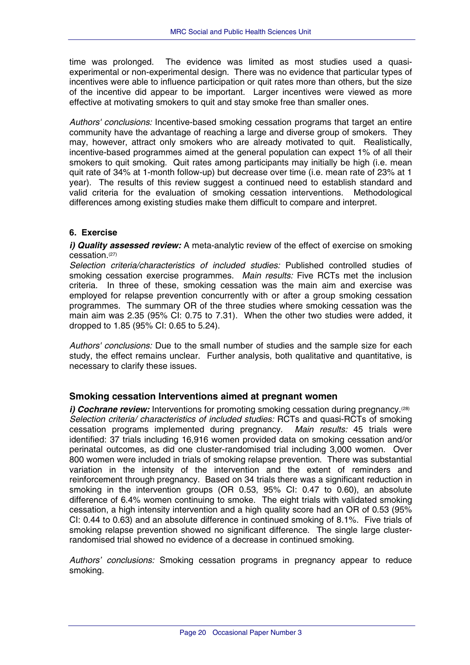<span id="page-22-0"></span>time was prolonged. The evidence was limited as most studies used a quasiexperimental or non-experimental design. There was no evidence that particular types of incentives were able to influence participation or quit rates more than others, but the size of the incentive did appear to be important. Larger incentives were viewed as more effective at motivating smokers to quit and stay smoke free than smaller ones.

*Authors' conclusions:* Incentive-based smoking cessation programs that target an entire community have the advantage of reaching a large and diverse group of smokers. They may, however, attract only smokers who are already motivated to quit. Realistically, incentive-based programmes aimed at the general population can expect 1% of all their smokers to quit smoking. Quit rates among participants may initially be high (i.e. mean quit rate of 34% at 1-month follow-up) but decrease over time (i.e. mean rate of 23% at 1 year). The results of this review suggest a continued need to establish standard and valid criteria for the evaluation of smoking cessation interventions. Methodological differences among existing studies make them difficult to compare and interpret.

## **6. Exercise**

*i) Quality assessed review:* A meta-analytic review of the effect of exercise on smoking cessation.(27)

*Selection criteria/characteristics of included studies:* Published controlled studies of smoking cessation exercise programmes. *Main results:* Five RCTs met the inclusion criteria. In three of these, smoking cessation was the main aim and exercise was employed for relapse prevention concurrently with or after a group smoking cessation programmes. The summary OR of the three studies where smoking cessation was the main aim was 2.35 (95% CI: 0.75 to 7.31). When the other two studies were added, it dropped to 1.85 (95% CI: 0.65 to 5.24).

*Authors' conclusions:* Due to the small number of studies and the sample size for each study, the effect remains unclear. Further analysis, both qualitative and quantitative, is necessary to clarify these issues.

## **Smoking cessation Interventions aimed at pregnant women**

*i) Cochrane review:* Interventions for promoting smoking cessation during pregnancy.<sup>(28)</sup> *Selection criteria/ characteristics of included studies:* RCTs and quasi-RCTs of smoking cessation programs implemented during pregnancy. *Main results:* 45 trials were identified: 37 trials including 16,916 women provided data on smoking cessation and/or perinatal outcomes, as did one cluster-randomised trial including 3,000 women. Over 800 women were included in trials of smoking relapse prevention. There was substantial variation in the intensity of the intervention and the extent of reminders and reinforcement through pregnancy. Based on 34 trials there was a significant reduction in smoking in the intervention groups (OR 0.53, 95% CI: 0.47 to 0.60), an absolute difference of 6.4% women continuing to smoke. The eight trials with validated smoking cessation, a high intensity intervention and a high quality score had an OR of 0.53 (95% CI: 0.44 to 0.63) and an absolute difference in continued smoking of 8.1%. Five trials of smoking relapse prevention showed no significant difference. The single large clusterrandomised trial showed no evidence of a decrease in continued smoking.

*Authors' conclusions:* Smoking cessation programs in pregnancy appear to reduce smoking.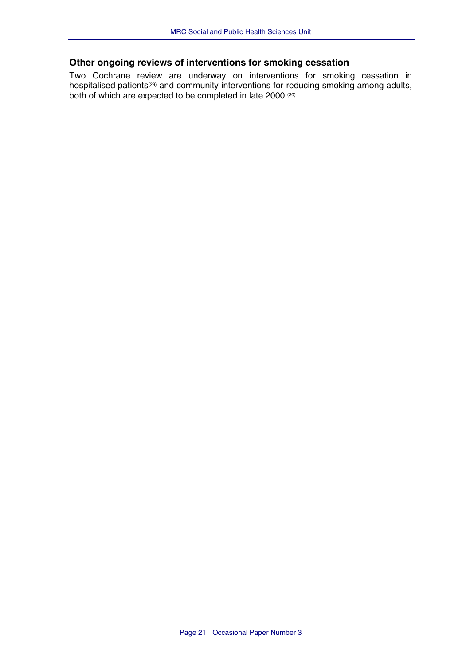## <span id="page-23-0"></span>**Other ongoing reviews of interventions for smoking cessation**

Two Cochrane review are underway on interventions for smoking cessation in hospitalised patients<sup>(29)</sup> and community interventions for reducing smoking among adults, both of which are expected to be completed in late 2000.<sup>(30)</sup>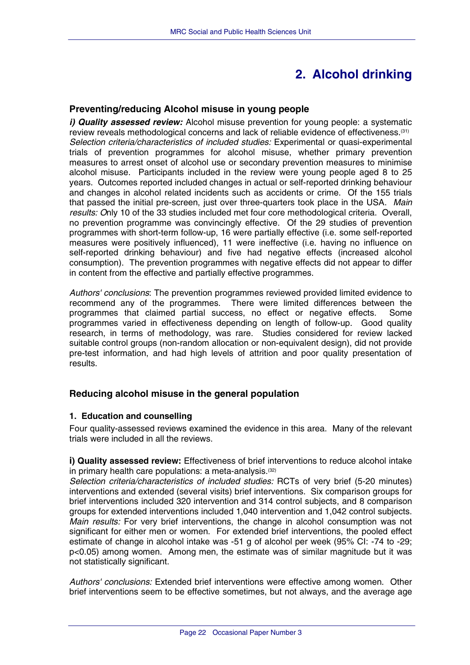# **2. Alcohol drinking**

## <span id="page-24-0"></span>**Preventing/reducing Alcohol misuse in young people**

*i) Quality assessed review:* Alcohol misuse prevention for young people: a systematic review reveals methodological concerns and lack of reliable evidence of effectiveness.(31) *Selection criteria/characteristics of included studies:* Experimental or quasi-experimental trials of prevention programmes for alcohol misuse, whether primary prevention measures to arrest onset of alcohol use or secondary prevention measures to minimise alcohol misuse. Participants included in the review were young people aged 8 to 25 years. Outcomes reported included changes in actual or self-reported drinking behaviour and changes in alcohol related incidents such as accidents or crime. Of the 155 trials that passed the initial pre-screen, just over three-quarters took place in the USA. *Main results: O*nly 10 of the 33 studies included met four core methodological criteria. Overall, no prevention programme was convincingly effective. Of the 29 studies of prevention programmes with short-term follow-up, 16 were partially effective (i.e. some self-reported measures were positively influenced), 11 were ineffective (i.e. having no influence on self-reported drinking behaviour) and five had negative effects (increased alcohol consumption). The prevention programmes with negative effects did not appear to differ in content from the effective and partially effective programmes.

*Authors' conclusions*: The prevention programmes reviewed provided limited evidence to recommend any of the programmes. There were limited differences between the programmes that claimed partial success, no effect or negative effects. Some programmes varied in effectiveness depending on length of follow-up. Good quality research, in terms of methodology, was rare. Studies considered for review lacked suitable control groups (non-random allocation or non-equivalent design), did not provide pre-test information, and had high levels of attrition and poor quality presentation of results.

## **Reducing alcohol misuse in the general population**

## **1. Education and counselling**

Four quality-assessed reviews examined the evidence in this area. Many of the relevant trials were included in all the reviews.

**i) Quality assessed review:** Effectiveness of brief interventions to reduce alcohol intake in primary health care populations: a meta-analysis.(32)

*Selection criteria/characteristics of included studies:* RCTs of very brief (5-20 minutes) interventions and extended (several visits) brief interventions. Six comparison groups for brief interventions included 320 intervention and 314 control subjects, and 8 comparison groups for extended interventions included 1,040 intervention and 1,042 control subjects. *Main results:* For very brief interventions, the change in alcohol consumption was not significant for either men or women. For extended brief interventions, the pooled effect estimate of change in alcohol intake was -51 g of alcohol per week (95% CI: -74 to -29; p<0.05) among women. Among men, the estimate was of similar magnitude but it was not statistically significant.

*Authors' conclusions:* Extended brief interventions were effective among women. Other brief interventions seem to be effective sometimes, but not always, and the average age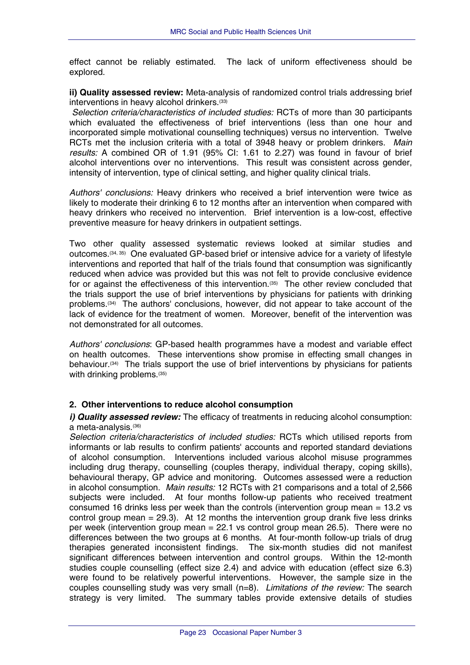<span id="page-25-0"></span>effect cannot be reliably estimated. The lack of uniform effectiveness should be explored.

**ii) Quality assessed review:** Meta-analysis of randomized control trials addressing brief interventions in heavy alcohol drinkers.<sup>(33)</sup>

*Selection criteria/characteristics of included studies:* RCTs of more than 30 participants which evaluated the effectiveness of brief interventions (less than one hour and incorporated simple motivational counselling techniques) versus no intervention. Twelve RCTs met the inclusion criteria with a total of 3948 heavy or problem drinkers. *Main results:* A combined OR of 1.91 (95% CI: 1.61 to 2.27) was found in favour of brief alcohol interventions over no interventions. This result was consistent across gender, intensity of intervention, type of clinical setting, and higher quality clinical trials.

*Authors' conclusions:* Heavy drinkers who received a brief intervention were twice as likely to moderate their drinking 6 to 12 months after an intervention when compared with heavy drinkers who received no intervention. Brief intervention is a low-cost, effective preventive measure for heavy drinkers in outpatient settings.

Two other quality assessed systematic reviews looked at similar studies and outcomes.(34, 35) One evaluated GP-based brief or intensive advice for a variety of lifestyle interventions and reported that half of the trials found that consumption was significantly reduced when advice was provided but this was not felt to provide conclusive evidence for or against the effectiveness of this intervention.<sup>(35)</sup> The other review concluded that the trials support the use of brief interventions by physicians for patients with drinking problems.(34) The authors' conclusions, however, did not appear to take account of the lack of evidence for the treatment of women. Moreover, benefit of the intervention was not demonstrated for all outcomes.

*Authors' conclusions*: GP-based health programmes have a modest and variable effect on health outcomes. These interventions show promise in effecting small changes in behaviour.(34) The trials support the use of brief interventions by physicians for patients with drinking problems.<sup>(35)</sup>

## **2. Other interventions to reduce alcohol consumption**

*i) Quality assessed review:* The efficacy of treatments in reducing alcohol consumption: a meta-analysis.(36)

*Selection criteria/characteristics of included studies:* RCTs which utilised reports from informants or lab results to confirm patients' accounts and reported standard deviations of alcohol consumption. Interventions included various alcohol misuse programmes including drug therapy, counselling (couples therapy, individual therapy, coping skills), behavioural therapy, GP advice and monitoring. Outcomes assessed were a reduction in alcohol consumption. *Main results:* 12 RCTs with 21 comparisons and a total of 2,566 subjects were included. At four months follow-up patients who received treatment consumed 16 drinks less per week than the controls (intervention group mean = 13.2 vs control group mean  $= 29.3$ ). At 12 months the intervention group drank five less drinks per week (intervention group mean = 22.1 vs control group mean 26.5). There were no differences between the two groups at 6 months. At four-month follow-up trials of drug therapies generated inconsistent findings. The six-month studies did not manifest significant differences between intervention and control groups. Within the 12-month studies couple counselling (effect size 2.4) and advice with education (effect size 6.3) were found to be relatively powerful interventions. However, the sample size in the couples counselling study was very small (n=8). *Limitations of the review:* The search strategy is very limited. The summary tables provide extensive details of studies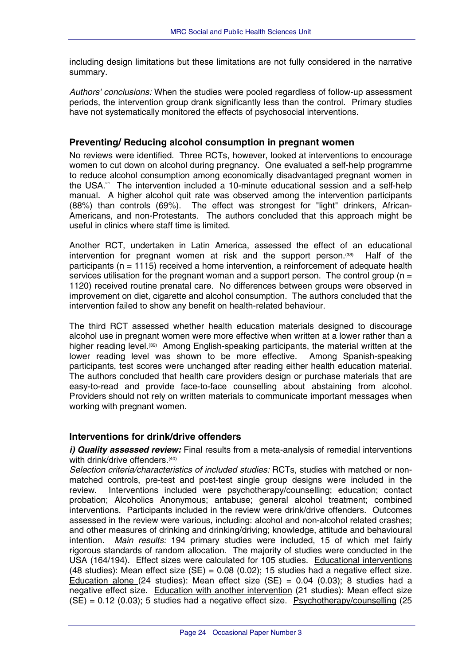<span id="page-26-0"></span>including design limitations but these limitations are not fully considered in the narrative summary.

*Authors' conclusions:* When the studies were pooled regardless of follow-up assessment periods, the intervention group drank significantly less than the control. Primary studies have not systematically monitored the effects of psychosocial interventions.

## **Preventing/ Reducing alcohol consumption in pregnant women**

No reviews were identified. Three RCTs, however, looked at interventions to encourage women to cut down on alcohol during pregnancy. One evaluated a self-help programme to reduce alcohol consumption among economically disadvantaged pregnant women in the USA. $\degree$  The intervention included a 10-minute educational session and a self-help manual. A higher alcohol quit rate was observed among the intervention participants (88%) than controls (69%). The effect was strongest for "light" drinkers, African-Americans, and non-Protestants. The authors concluded that this approach might be useful in clinics where staff time is limited.

Another RCT, undertaken in Latin America, assessed the effect of an educational intervention for pregnant women at risk and the support person.(38) Half of the participants ( $n = 1115$ ) received a home intervention, a reinforcement of adequate health services utilisation for the pregnant woman and a support person. The control group ( $n =$ 1120) received routine prenatal care. No differences between groups were observed in improvement on diet, cigarette and alcohol consumption. The authors concluded that the intervention failed to show any benefit on health-related behaviour.

The third RCT assessed whether health education materials designed to discourage alcohol use in pregnant women were more effective when written at a lower rather than a higher reading level.<sup>(39)</sup> Among English-speaking participants, the material written at the lower reading level was shown to be more effective. Among Spanish-speaking participants, test scores were unchanged after reading either health education material. The authors concluded that health care providers design or purchase materials that are easy-to-read and provide face-to-face counselling about abstaining from alcohol. Providers should not rely on written materials to communicate important messages when working with pregnant women.

## **Interventions for drink/drive offenders**

*i) Quality assessed review:* Final results from a meta-analysis of remedial interventions with drink/drive offenders.<sup>(40)</sup>

*Selection criteria/characteristics of included studies:* RCTs, studies with matched or nonmatched controls, pre-test and post-test single group designs were included in the review. Interventions included were psychotherapy/counselling; education; contact probation; Alcoholics Anonymous; antabuse; general alcohol treatment; combined interventions. Participants included in the review were drink/drive offenders. Outcomes assessed in the review were various, including: alcohol and non-alcohol related crashes; and other measures of drinking and drinking/driving; knowledge, attitude and behavioural intention. *Main results:* 194 primary studies were included, 15 of which met fairly rigorous standards of random allocation. The majority of studies were conducted in the USA (164/194). Effect sizes were calculated for 105 studies. Educational interventions (48 studies): Mean effect size  $(SE) = 0.08$  (0.02); 15 studies had a negative effect size. Education alone (24 studies): Mean effect size (SE) =  $0.04$  (0.03): 8 studies had a negative effect size. Education with another intervention (21 studies): Mean effect size  $(SE) = 0.12$  (0.03); 5 studies had a negative effect size. Psychotherapy/counselling (25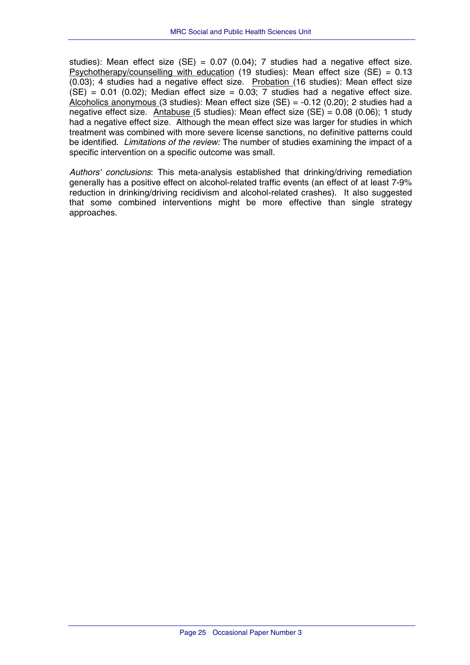studies): Mean effect size (SE) = 0.07 (0.04); 7 studies had a negative effect size. Psychotherapy/counselling with education (19 studies): Mean effect size (SE) = 0.13 (0.03); 4 studies had a negative effect size. Probation (16 studies): Mean effect size  $(SE) = 0.01$  (0.02); Median effect size = 0.03; 7 studies had a negative effect size. Alcoholics anonymous (3 studies): Mean effect size (SE) =  $-0.12$  (0.20); 2 studies had a negative effect size. Antabuse (5 studies): Mean effect size (SE) = 0.08 (0.06); 1 study had a negative effect size. Although the mean effect size was larger for studies in which treatment was combined with more severe license sanctions, no definitive patterns could be identified. *Limitations of the review:* The number of studies examining the impact of a specific intervention on a specific outcome was small.

*Authors' conclusions*: This meta-analysis established that drinking/driving remediation generally has a positive effect on alcohol-related traffic events (an effect of at least 7-9% reduction in drinking/driving recidivism and alcohol-related crashes). It also suggested that some combined interventions might be more effective than single strategy approaches.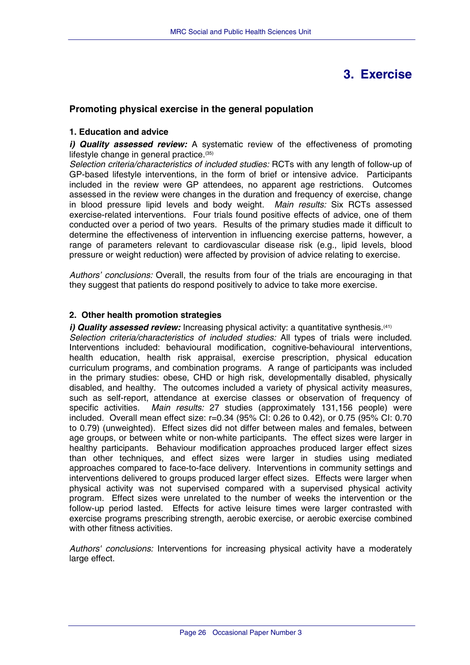## **3. Exercise**

## <span id="page-28-0"></span>**Promoting physical exercise in the general population**

#### **1. Education and advice**

*i) Quality assessed review:* A systematic review of the effectiveness of promoting lifestyle change in general practice.(35)

*Selection criteria/characteristics of included studies:* RCTs with any length of follow-up of GP-based lifestyle interventions, in the form of brief or intensive advice. Participants included in the review were GP attendees, no apparent age restrictions. Outcomes assessed in the review were changes in the duration and frequency of exercise, change in blood pressure lipid levels and body weight. *Main results:* Six RCTs assessed exercise-related interventions. Four trials found positive effects of advice, one of them conducted over a period of two years. Results of the primary studies made it difficult to determine the effectiveness of intervention in influencing exercise patterns, however, a range of parameters relevant to cardiovascular disease risk (e.g., lipid levels, blood pressure or weight reduction) were affected by provision of advice relating to exercise.

*Authors' conclusions:* Overall, the results from four of the trials are encouraging in that they suggest that patients do respond positively to advice to take more exercise.

#### **2. Other health promotion strategies**

*i) Quality assessed review:* Increasing physical activity: a quantitative synthesis.<sup>(41)</sup> *Selection criteria/characteristics of included studies:* All types of trials were included. Interventions included: behavioural modification, cognitive-behavioural interventions, health education, health risk appraisal, exercise prescription, physical education curriculum programs, and combination programs. A range of participants was included in the primary studies: obese, CHD or high risk, developmentally disabled, physically disabled, and healthy. The outcomes included a variety of physical activity measures, such as self-report, attendance at exercise classes or observation of frequency of specific activities. *Main results:* 27 studies (approximately 131,156 people) were included. Overall mean effect size: r=0.34 (95% CI: 0.26 to 0.42), or 0.75 (95% CI: 0.70 to 0.79) (unweighted). Effect sizes did not differ between males and females, between age groups, or between white or non-white participants. The effect sizes were larger in healthy participants. Behaviour modification approaches produced larger effect sizes than other techniques, and effect sizes were larger in studies using mediated approaches compared to face-to-face delivery. Interventions in community settings and interventions delivered to groups produced larger effect sizes. Effects were larger when physical activity was not supervised compared with a supervised physical activity program. Effect sizes were unrelated to the number of weeks the intervention or the follow-up period lasted. Effects for active leisure times were larger contrasted with exercise programs prescribing strength, aerobic exercise, or aerobic exercise combined with other fitness activities.

*Authors' conclusions:* Interventions for increasing physical activity have a moderately large effect.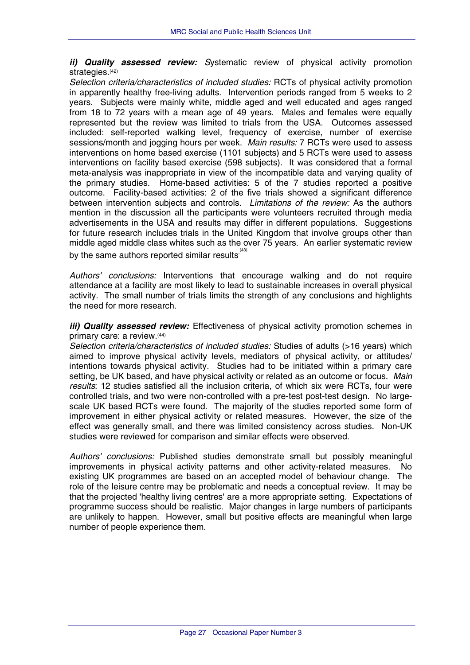*ii) Quality assessed review: S*ystematic review of physical activity promotion strategies.<sup>(42)</sup>

*Selection criteria/characteristics of included studies:* RCTs of physical activity promotion in apparently healthy free-living adults. Intervention periods ranged from 5 weeks to 2 years. Subjects were mainly white, middle aged and well educated and ages ranged from 18 to 72 years with a mean age of 49 years. Males and females were equally represented but the review was limited to trials from the USA. Outcomes assessed included: self-reported walking level, frequency of exercise, number of exercise sessions/month and jogging hours per week. *Main results:* 7 RCTs were used to assess interventions on home based exercise (1101 subjects) and 5 RCTs were used to assess interventions on facility based exercise (598 subjects). It was considered that a formal meta-analysis was inappropriate in view of the incompatible data and varying quality of the primary studies. Home-based activities: 5 of the 7 studies reported a positive outcome. Facility-based activities: 2 of the five trials showed a significant difference between intervention subjects and controls. *Limitations of the review:* As the authors mention in the discussion all the participants were volunteers recruited through media advertisements in the USA and results may differ in different populations. Suggestions for future research includes trials in the United Kingdom that involve groups other than middle aged middle class whites such as the over 75 years. An earlier systematic review by the same authors reported similar results $^{\scriptscriptstyle{(43)}}$ 

*Authors' conclusions:* Interventions that encourage walking and do not require attendance at a facility are most likely to lead to sustainable increases in overall physical activity. The small number of trials limits the strength of any conclusions and highlights the need for more research.

*iii) Quality assessed review:* Effectiveness of physical activity promotion schemes in primary care: a review.(44)

*Selection criteria/characteristics of included studies:* Studies of adults (>16 years) which aimed to improve physical activity levels, mediators of physical activity, or attitudes/ intentions towards physical activity. Studies had to be initiated within a primary care setting, be UK based, and have physical activity or related as an outcome or focus. *Main results*: 12 studies satisfied all the inclusion criteria, of which six were RCTs, four were controlled trials, and two were non-controlled with a pre-test post-test design. No largescale UK based RCTs were found. The majority of the studies reported some form of improvement in either physical activity or related measures. However, the size of the effect was generally small, and there was limited consistency across studies. Non-UK studies were reviewed for comparison and similar effects were observed.

*Authors' conclusions:* Published studies demonstrate small but possibly meaningful improvements in physical activity patterns and other activity-related measures. No existing UK programmes are based on an accepted model of behaviour change. The role of the leisure centre may be problematic and needs a conceptual review. It may be that the projected 'healthy living centres' are a more appropriate setting. Expectations of programme success should be realistic. Major changes in large numbers of participants are unlikely to happen. However, small but positive effects are meaningful when large number of people experience them.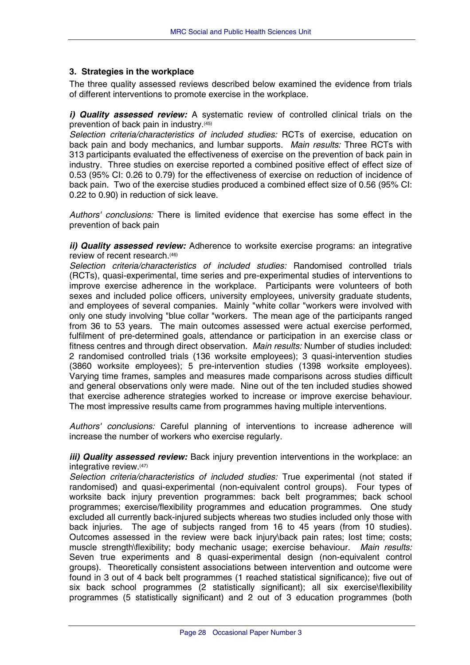#### <span id="page-30-0"></span>**3. Strategies in the workplace**

The three quality assessed reviews described below examined the evidence from trials of different interventions to promote exercise in the workplace.

*i) Quality assessed review:* A systematic review of controlled clinical trials on the prevention of back pain in industry.(45)

*Selection criteria/characteristics of included studies:* RCTs of exercise, education on back pain and body mechanics, and lumbar supports. *Main results:* Three RCTs with 313 participants evaluated the effectiveness of exercise on the prevention of back pain in industry. Three studies on exercise reported a combined positive effect of effect size of 0.53 (95% CI: 0.26 to 0.79) for the effectiveness of exercise on reduction of incidence of back pain. Two of the exercise studies produced a combined effect size of 0.56 (95% CI: 0.22 to 0.90) in reduction of sick leave.

*Authors' conclusions:* There is limited evidence that exercise has some effect in the prevention of back pain

*ii) Quality assessed review:* Adherence to worksite exercise programs: an integrative review of recent research.(46)

*Selection criteria/characteristics of included studies:* Randomised controlled trials (RCTs), quasi-experimental, time series and pre-experimental studies of interventions to improve exercise adherence in the workplace. Participants were volunteers of both sexes and included police officers, university employees, university graduate students, and employees of several companies. Mainly "white collar "workers were involved with only one study involving "blue collar "workers. The mean age of the participants ranged from 36 to 53 years. The main outcomes assessed were actual exercise performed, fulfilment of pre-determined goals, attendance or participation in an exercise class or fitness centres and through direct observation. *Main results:* Number of studies included: 2 randomised controlled trials (136 worksite employees); 3 quasi-intervention studies (3860 worksite employees); 5 pre-intervention studies (1398 worksite employees). Varying time frames, samples and measures made comparisons across studies difficult and general observations only were made. Nine out of the ten included studies showed that exercise adherence strategies worked to increase or improve exercise behaviour. The most impressive results came from programmes having multiple interventions.

*Authors' conclusions:* Careful planning of interventions to increase adherence will increase the number of workers who exercise regularly.

*iii) Quality assessed review:* Back injury prevention interventions in the workplace: an integrative review.(47)

*Selection criteria/characteristics of included studies:* True experimental (not stated if randomised) and quasi-experimental (non-equivalent control groups). Four types of worksite back injury prevention programmes: back belt programmes; back school programmes; exercise/flexibility programmes and education programmes. One study excluded all currently back-injured subjects whereas two studies included only those with back injuries. The age of subjects ranged from 16 to 45 years (from 10 studies). Outcomes assessed in the review were back injury\back pain rates; lost time; costs; muscle strength\flexibility; body mechanic usage; exercise behaviour. *Main results:* Seven true experiments and 8 quasi-experimental design (non-equivalent control groups). Theoretically consistent associations between intervention and outcome were found in 3 out of 4 back belt programmes (1 reached statistical significance); five out of six back school programmes (2 statistically significant); all six exercise\flexibility programmes (5 statistically significant) and 2 out of 3 education programmes (both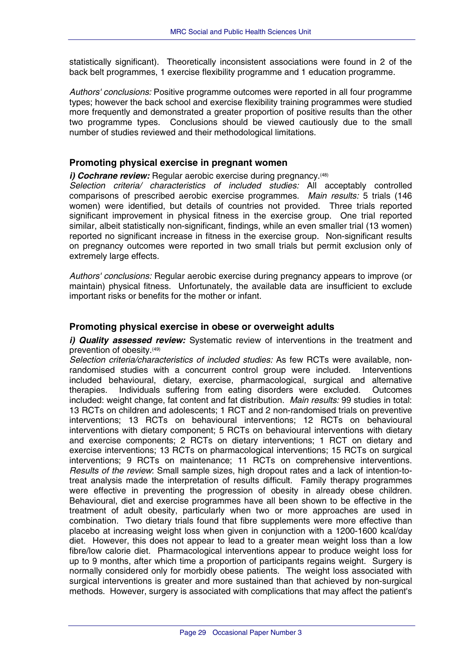<span id="page-31-0"></span>statistically significant). Theoretically inconsistent associations were found in 2 of the back belt programmes, 1 exercise flexibility programme and 1 education programme.

*Authors' conclusions:* Positive programme outcomes were reported in all four programme types; however the back school and exercise flexibility training programmes were studied more frequently and demonstrated a greater proportion of positive results than the other two programme types. Conclusions should be viewed cautiously due to the small number of studies reviewed and their methodological limitations.

## **Promoting physical exercise in pregnant women**

#### *i) Cochrane review:* Regular aerobic exercise during pregnancy.<sup>(48)</sup>

*Selection criteria/ characteristics of included studies:* All acceptably controlled comparisons of prescribed aerobic exercise programmes. *Main results:* 5 trials (146 women) were identified, but details of countries not provided. Three trials reported significant improvement in physical fitness in the exercise group. One trial reported similar, albeit statistically non-significant, findings, while an even smaller trial (13 women) reported no significant increase in fitness in the exercise group. Non-significant results on pregnancy outcomes were reported in two small trials but permit exclusion only of extremely large effects.

*Authors' conclusions:* Regular aerobic exercise during pregnancy appears to improve (or maintain) physical fitness. Unfortunately, the available data are insufficient to exclude important risks or benefits for the mother or infant.

#### **Promoting physical exercise in obese or overweight adults**

*i) Quality assessed review:* Systematic review of interventions in the treatment and prevention of obesity.(49)

*Selection criteria/characteristics of included studies:* As few RCTs were available, nonrandomised studies with a concurrent control group were included. Interventions included behavioural, dietary, exercise, pharmacological, surgical and alternative therapies. Individuals suffering from eating disorders were excluded. Outcomes included: weight change, fat content and fat distribution. *Main results:* 99 studies in total: 13 RCTs on children and adolescents; 1 RCT and 2 non-randomised trials on preventive interventions; 13 RCTs on behavioural interventions; 12 RCTs on behavioural interventions with dietary component; 5 RCTs on behavioural interventions with dietary and exercise components; 2 RCTs on dietary interventions; 1 RCT on dietary and exercise interventions; 13 RCTs on pharmacological interventions; 15 RCTs on surgical interventions; 9 RCTs on maintenance; 11 RCTs on comprehensive interventions. *Results of the review*: Small sample sizes, high dropout rates and a lack of intention-totreat analysis made the interpretation of results difficult. Family therapy programmes were effective in preventing the progression of obesity in already obese children. Behavioural, diet and exercise programmes have all been shown to be effective in the treatment of adult obesity, particularly when two or more approaches are used in combination. Two dietary trials found that fibre supplements were more effective than placebo at increasing weight loss when given in conjunction with a 1200-1600 kcal/day diet. However, this does not appear to lead to a greater mean weight loss than a low fibre/low calorie diet. Pharmacological interventions appear to produce weight loss for up to 9 months, after which time a proportion of participants regains weight. Surgery is normally considered only for morbidly obese patients. The weight loss associated with surgical interventions is greater and more sustained than that achieved by non-surgical methods. However, surgery is associated with complications that may affect the patient's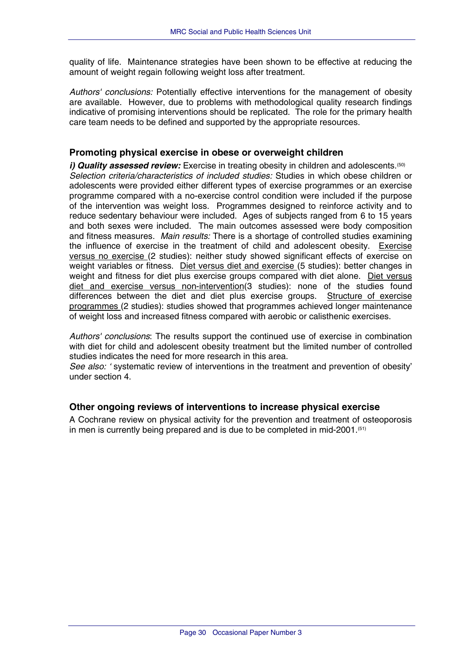<span id="page-32-0"></span>quality of life. Maintenance strategies have been shown to be effective at reducing the amount of weight regain following weight loss after treatment.

*Authors' conclusions:* Potentially effective interventions for the management of obesity are available. However, due to problems with methodological quality research findings indicative of promising interventions should be replicated. The role for the primary health care team needs to be defined and supported by the appropriate resources.

## **Promoting physical exercise in obese or overweight children**

*i) Quality assessed review:* Exercise in treating obesity in children and adolescents.<sup>(50)</sup> *Selection criteria/characteristics of included studies:* Studies in which obese children or adolescents were provided either different types of exercise programmes or an exercise programme compared with a no-exercise control condition were included if the purpose of the intervention was weight loss. Programmes designed to reinforce activity and to reduce sedentary behaviour were included. Ages of subjects ranged from 6 to 15 years and both sexes were included. The main outcomes assessed were body composition and fitness measures. *Main results:* There is a shortage of controlled studies examining the influence of exercise in the treatment of child and adolescent obesity. Exercise versus no exercise (2 studies): neither study showed significant effects of exercise on weight variables or fitness. Diet versus diet and exercise (5 studies): better changes in weight and fitness for diet plus exercise groups compared with diet alone. Diet versus diet and exercise versus non-intervention(3 studies): none of the studies found differences between the diet and diet plus exercise groups. Structure of exercise programmes (2 studies): studies showed that programmes achieved longer maintenance of weight loss and increased fitness compared with aerobic or calisthenic exercises.

*Authors' conclusions*: The results support the continued use of exercise in combination with diet for child and adolescent obesity treatment but the limited number of controlled studies indicates the need for more research in this area.

*See also: '* systematic review of interventions in the treatment and prevention of obesity' under section 4.

## **Other ongoing reviews of interventions to increase physical exercise**

A Cochrane review on physical activity for the prevention and treatment of osteoporosis in men is currently being prepared and is due to be completed in mid-2001.(51)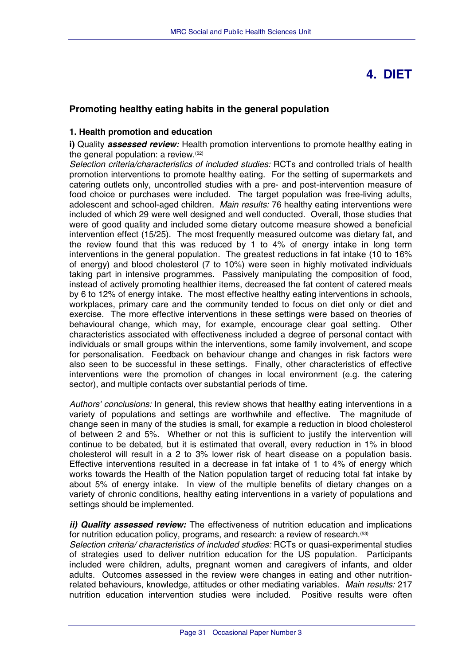## **4. DIET**

## <span id="page-33-0"></span>**Promoting healthy eating habits in the general population**

#### **1. Health promotion and education**

**i)** Quality **assessed review:** Health promotion interventions to promote healthy eating in the general population: a review.(52)

*Selection criteria/characteristics of included studies:* RCTs and controlled trials of health promotion interventions to promote healthy eating. For the setting of supermarkets and catering outlets only, uncontrolled studies with a pre- and post-intervention measure of food choice or purchases were included.The target population was free-living adults, adolescent and school-aged children*. Main results:* 76 healthy eating interventions were included of which 29 were well designed and well conducted. Overall, those studies that were of good quality and included some dietary outcome measure showed a beneficial intervention effect (15/25). The most frequently measured outcome was dietary fat, and the review found that this was reduced by 1 to 4% of energy intake in long term interventions in the general population. The greatest reductions in fat intake (10 to 16% of energy) and blood cholesterol (7 to 10%) were seen in highly motivated individuals taking part in intensive programmes. Passively manipulating the composition of food, instead of actively promoting healthier items, decreased the fat content of catered meals by 6 to 12% of energy intake. The most effective healthy eating interventions in schools, workplaces, primary care and the community tended to focus on diet only or diet and exercise. The more effective interventions in these settings were based on theories of behavioural change, which may, for example, encourage clear goal setting. Other characteristics associated with effectiveness included a degree of personal contact with individuals or small groups within the interventions, some family involvement, and scope for personalisation. Feedback on behaviour change and changes in risk factors were also seen to be successful in these settings. Finally, other characteristics of effective interventions were the promotion of changes in local environment (e.g. the catering sector), and multiple contacts over substantial periods of time.

*Authors' conclusions:* In general, this review shows that healthy eating interventions in a variety of populations and settings are worthwhile and effective. The magnitude of change seen in many of the studies is small, for example a reduction in blood cholesterol of between 2 and 5%. Whether or not this is sufficient to justify the intervention will continue to be debated, but it is estimated that overall, every reduction in 1% in blood cholesterol will result in a 2 to 3% lower risk of heart disease on a population basis. Effective interventions resulted in a decrease in fat intake of 1 to 4% of energy which works towards the Health of the Nation population target of reducing total fat intake by about 5% of energy intake. In view of the multiple benefits of dietary changes on a variety of chronic conditions, healthy eating interventions in a variety of populations and settings should be implemented.

*ii) Quality assessed review:* The effectiveness of nutrition education and implications for nutrition education policy, programs, and research: a review of research.<sup>(53)</sup>

*Selection criteria/ characteristics of included studies:* RCTs or quasi-experimental studies of strategies used to deliver nutrition education for the US population. Participants included were children, adults, pregnant women and caregivers of infants, and older adults. Outcomes assessed in the review were changes in eating and other nutritionrelated behaviours, knowledge, attitudes or other mediating variables. *Main results:* 217 nutrition education intervention studies were included. Positive results were often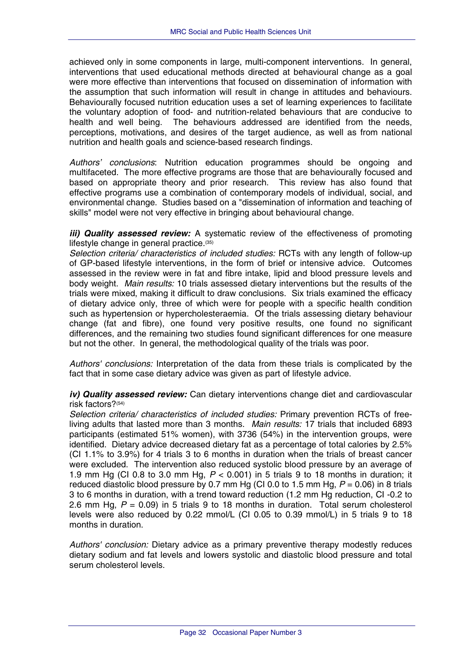achieved only in some components in large, multi-component interventions. In general, interventions that used educational methods directed at behavioural change as a goal were more effective than interventions that focused on dissemination of information with the assumption that such information will result in change in attitudes and behaviours. Behaviourally focused nutrition education uses a set of learning experiences to facilitate the voluntary adoption of food- and nutrition-related behaviours that are conducive to health and well being. The behaviours addressed are identified from the needs, perceptions, motivations, and desires of the target audience, as well as from national nutrition and health goals and science-based research findings.

*Authors' conclusions*: Nutrition education programmes should be ongoing and multifaceted. The more effective programs are those that are behaviourally focused and based on appropriate theory and prior research. This review has also found that effective programs use a combination of contemporary models of individual, social, and environmental change. Studies based on a "dissemination of information and teaching of skills" model were not very effective in bringing about behavioural change.

*iii) Quality assessed review:* A systematic review of the effectiveness of promoting lifestyle change in general practice.(35)

*Selection criteria/ characteristics of included studies:* RCTs with any length of follow-up of GP-based lifestyle interventions, in the form of brief or intensive advice. Outcomes assessed in the review were in fat and fibre intake, lipid and blood pressure levels and body weight. *Main results:* 10 trials assessed dietary interventions but the results of the trials were mixed, making it difficult to draw conclusions. Six trials examined the efficacy of dietary advice only, three of which were for people with a specific health condition such as hypertension or hypercholesteraemia. Of the trials assessing dietary behaviour change (fat and fibre), one found very positive results, one found no significant differences, and the remaining two studies found significant differences for one measure but not the other. In general, the methodological quality of the trials was poor.

*Authors' conclusions:* Interpretation of the data from these trials is complicated by the fact that in some case dietary advice was given as part of lifestyle advice.

*iv) Quality assessed review:* Can dietary interventions change diet and cardiovascular risk factors?(54)

*Selection criteria/ characteristics of included studies:* Primary prevention RCTs of freeliving adults that lasted more than 3 months. *Main results:* 17 trials that included 6893 participants (estimated 51% women), with 3736 (54%) in the intervention groups, were identified. Dietary advice decreased dietary fat as a percentage of total calories by 2.5% (CI 1.1% to 3.9%) for 4 trials 3 to 6 months in duration when the trials of breast cancer were excluded. The intervention also reduced systolic blood pressure by an average of 1.9 mm Hg (CI 0.8 to 3.0 mm Hg, *P* < 0.001) in 5 trials 9 to 18 months in duration; it reduced diastolic blood pressure by 0.7 mm Hg (CI 0.0 to 1.5 mm Hg,  $P = 0.06$ ) in 8 trials 3 to 6 months in duration, with a trend toward reduction (1.2 mm Hg reduction, CI -0.2 to 2.6 mm Hg, *P* = 0.09) in 5 trials 9 to 18 months in duration. Total serum cholesterol levels were also reduced by 0.22 mmol/L (CI 0.05 to 0.39 mmol/L) in 5 trials 9 to 18 months in duration.

*Authors' conclusion:* Dietary advice as a primary preventive therapy modestly reduces dietary sodium and fat levels and lowers systolic and diastolic blood pressure and total serum cholesterol levels.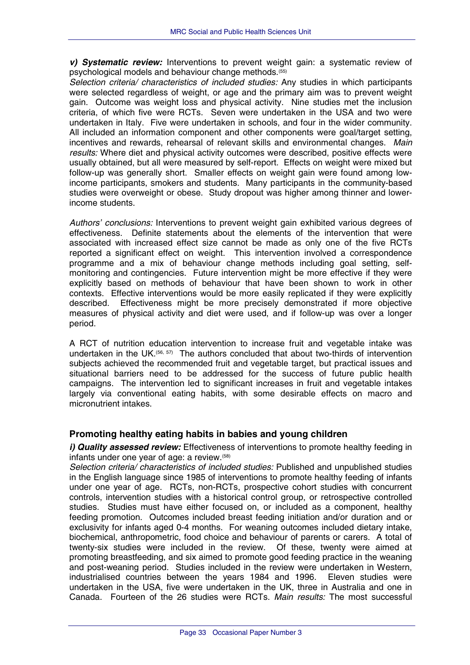<span id="page-35-0"></span>*v) Systematic review:* Interventions to prevent weight gain: a systematic review of psychological models and behaviour change methods.(55)

*Selection criteria/ characteristics of included studies:* Any studies in which participants were selected regardless of weight, or age and the primary aim was to prevent weight gain. Outcome was weight loss and physical activity. Nine studies met the inclusion criteria, of which five were RCTs. Seven were undertaken in the USA and two were undertaken in Italy. Five were undertaken in schools, and four in the wider community. All included an information component and other components were goal/target setting, incentives and rewards, rehearsal of relevant skills and environmental changes. *Main results:* Where diet and physical activity outcomes were described, positive effects were usually obtained, but all were measured by self-report. Effects on weight were mixed but follow-up was generally short. Smaller effects on weight gain were found among lowincome participants, smokers and students. Many participants in the community-based studies were overweight or obese. Study dropout was higher among thinner and lowerincome students.

*Authors' conclusions:* Interventions to prevent weight gain exhibited various degrees of effectiveness. Definite statements about the elements of the intervention that were associated with increased effect size cannot be made as only one of the five RCTs reported a significant effect on weight. This intervention involved a correspondence programme and a mix of behaviour change methods including goal setting, selfmonitoring and contingencies. Future intervention might be more effective if they were explicitly based on methods of behaviour that have been shown to work in other contexts. Effective interventions would be more easily replicated if they were explicitly described. Effectiveness might be more precisely demonstrated if more objective measures of physical activity and diet were used, and if follow-up was over a longer period.

A RCT of nutrition education intervention to increase fruit and vegetable intake was undertaken in the UK.<sup>(56, 57)</sup> The authors concluded that about two-thirds of intervention subjects achieved the recommended fruit and vegetable target, but practical issues and situational barriers need to be addressed for the success of future public health campaigns. The intervention led to significant increases in fruit and vegetable intakes largely via conventional eating habits, with some desirable effects on macro and micronutrient intakes.

## **Promoting healthy eating habits in babies and young children**

*i)* **Quality assessed review:** Effectiveness of interventions to promote healthy feeding in infants under one year of age: a review.(58)

*Selection criteria/ characteristics of included studies:* Published and unpublished studies in the English language since 1985 of interventions to promote healthy feeding of infants under one year of age. RCTs, non-RCTs, prospective cohort studies with concurrent controls, intervention studies with a historical control group, or retrospective controlled studies. Studies must have either focused on, or included as a component, healthy feeding promotion. Outcomes included breast feeding initiation and/or duration and or exclusivity for infants aged 0-4 months. For weaning outcomes included dietary intake, biochemical, anthropometric, food choice and behaviour of parents or carers. A total of twenty-six studies were included in the review. Of these, twenty were aimed at promoting breastfeeding, and six aimed to promote good feeding practice in the weaning and post-weaning period. Studies included in the review were undertaken in Western, industrialised countries between the years 1984 and 1996. Eleven studies were undertaken in the USA, five were undertaken in the UK, three in Australia and one in Canada. Fourteen of the 26 studies were RCTs. *Main results:* The most successful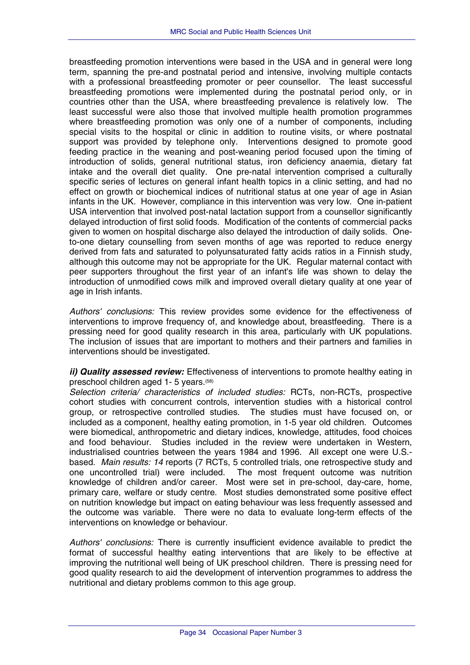breastfeeding promotion interventions were based in the USA and in general were long term, spanning the pre-and postnatal period and intensive, involving multiple contacts with a professional breastfeeding promoter or peer counsellor. The least successful breastfeeding promotions were implemented during the postnatal period only, or in countries other than the USA, where breastfeeding prevalence is relatively low. The least successful were also those that involved multiple health promotion programmes where breastfeeding promotion was only one of a number of components, including special visits to the hospital or clinic in addition to routine visits, or where postnatal support was provided by telephone only. Interventions designed to promote good feeding practice in the weaning and post-weaning period focused upon the timing of introduction of solids, general nutritional status, iron deficiency anaemia, dietary fat intake and the overall diet quality. One pre-natal intervention comprised a culturally specific series of lectures on general infant health topics in a clinic setting, and had no effect on growth or biochemical indices of nutritional status at one year of age in Asian infants in the UK. However, compliance in this intervention was very low. One in-patient USA intervention that involved post-natal lactation support from a counsellor significantly delayed introduction of first solid foods. Modification of the contents of commercial packs given to women on hospital discharge also delayed the introduction of daily solids. Oneto-one dietary counselling from seven months of age was reported to reduce energy derived from fats and saturated to polyunsaturated fatty acids ratios in a Finnish study, although this outcome may not be appropriate for the UK. Regular maternal contact with peer supporters throughout the first year of an infant's life was shown to delay the introduction of unmodified cows milk and improved overall dietary quality at one year of age in Irish infants.

*Authors' conclusions:* This review provides some evidence for the effectiveness of interventions to improve frequency of, and knowledge about, breastfeeding. There is a pressing need for good quality research in this area, particularly with UK populations. The inclusion of issues that are important to mothers and their partners and families in interventions should be investigated.

*ii) Quality assessed review:* Effectiveness of interventions to promote healthy eating in preschool children aged 1- 5 years.(58)

*Selection criteria/ characteristics of included studies:* RCTs, non-RCTs, prospective cohort studies with concurrent controls, intervention studies with a historical control group, or retrospective controlled studies. The studies must have focused on, or included as a component, healthy eating promotion, in 1-5 year old children. Outcomes were biomedical, anthropometric and dietary indices, knowledge, attitudes, food choices and food behaviour. Studies included in the review were undertaken in Western, industrialised countries between the years 1984 and 1996. All except one were U.S. based. *Main results: 14* reports (7 RCTs, 5 controlled trials, one retrospective study and one uncontrolled trial) were included. The most frequent outcome was nutrition knowledge of children and/or career. Most were set in pre-school, day-care, home, primary care, welfare or study centre. Most studies demonstrated some positive effect on nutrition knowledge but impact on eating behaviour was less frequently assessed and the outcome was variable. There were no data to evaluate long-term effects of the interventions on knowledge or behaviour.

*Authors' conclusions:* There is currently insufficient evidence available to predict the format of successful healthy eating interventions that are likely to be effective at improving the nutritional well being of UK preschool children. There is pressing need for good quality research to aid the development of intervention programmes to address the nutritional and dietary problems common to this age group.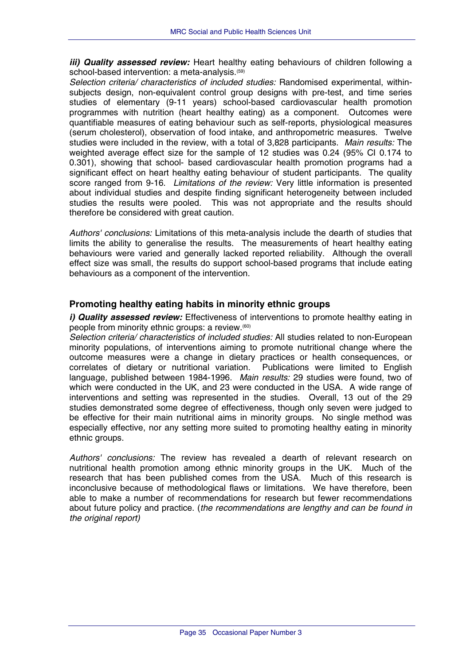<span id="page-37-0"></span>*iii) Quality assessed review:* Heart healthy eating behaviours of children following a school-based intervention: a meta-analysis.<sup>(59)</sup>

*Selection criteria/ characteristics of included studies:* Randomised experimental, withinsubjects design, non-equivalent control group designs with pre-test, and time series studies of elementary (9-11 years) school-based cardiovascular health promotion programmes with nutrition (heart healthy eating) as a component. Outcomes were quantifiable measures of eating behaviour such as self-reports, physiological measures (serum cholesterol), observation of food intake, and anthropometric measures. Twelve studies were included in the review, with a total of 3,828 participants. *Main results:* The weighted average effect size for the sample of 12 studies was 0.24 (95% CI 0.174 to 0.301), showing that school- based cardiovascular health promotion programs had a significant effect on heart healthy eating behaviour of student participants. The quality score ranged from 9-16. *Limitations of the review:* Very little information is presented about individual studies and despite finding significant heterogeneity between included studies the results were pooled. This was not appropriate and the results should therefore be considered with great caution.

*Authors' conclusions:* Limitations of this meta-analysis include the dearth of studies that limits the ability to generalise the results. The measurements of heart healthy eating behaviours were varied and generally lacked reported reliability. Although the overall effect size was small, the results do support school-based programs that include eating behaviours as a component of the intervention.

## **Promoting healthy eating habits in minority ethnic groups**

*i)* **Quality assessed review:** Effectiveness of interventions to promote healthy eating in people from minority ethnic groups: a review.(60)

*Selection criteria/ characteristics of included studies:* All studies related to non-European minority populations, of interventions aiming to promote nutritional change where the outcome measures were a change in dietary practices or health consequences, or correlates of dietary or nutritional variation. Publications were limited to English language, published between 1984-1996. *Main results:* 29 studies were found, two of which were conducted in the UK, and 23 were conducted in the USA. A wide range of interventions and setting was represented in the studies. Overall, 13 out of the 29 studies demonstrated some degree of effectiveness, though only seven were judged to be effective for their main nutritional aims in minority groups. No single method was especially effective, nor any setting more suited to promoting healthy eating in minority ethnic groups.

*Authors' conclusions:* The review has revealed a dearth of relevant research on nutritional health promotion among ethnic minority groups in the UK. Much of the research that has been published comes from the USA. Much of this research is inconclusive because of methodological flaws or limitations. We have therefore, been able to make a number of recommendations for research but fewer recommendations about future policy and practice. (*the recommendations are lengthy and can be found in the original report)*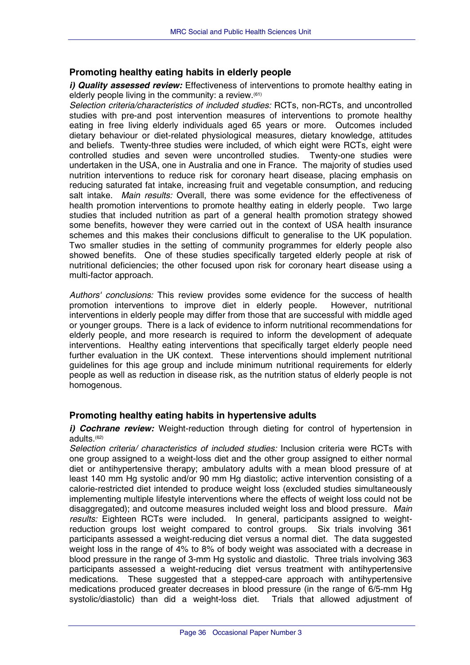## <span id="page-38-0"></span>**Promoting healthy eating habits in elderly people**

*i)* **Quality assessed review:** Effectiveness of interventions to promote healthy eating in elderly people living in the community: a review.(61)

*Selection criteria/characteristics of included studies:* RCTs, non-RCTs, and uncontrolled studies with pre-and post intervention measures of interventions to promote healthy eating in free living elderly individuals aged 65 years or more. Outcomes included dietary behaviour or diet-related physiological measures, dietary knowledge, attitudes and beliefs. Twenty-three studies were included, of which eight were RCTs, eight were controlled studies and seven were uncontrolled studies. Twenty-one studies were undertaken in the USA, one in Australia and one in France. The majority of studies used nutrition interventions to reduce risk for coronary heart disease, placing emphasis on reducing saturated fat intake, increasing fruit and vegetable consumption, and reducing salt intake. *Main results:* Overall, there was some evidence for the effectiveness of health promotion interventions to promote healthy eating in elderly people. Two large studies that included nutrition as part of a general health promotion strategy showed some benefits, however they were carried out in the context of USA health insurance schemes and this makes their conclusions difficult to generalise to the UK population. Two smaller studies in the setting of community programmes for elderly people also showed benefits. One of these studies specifically targeted elderly people at risk of nutritional deficiencies; the other focused upon risk for coronary heart disease using a multi-factor approach.

*Authors' conclusions:* This review provides some evidence for the success of health promotion interventions to improve diet in elderly people. However, nutritional interventions in elderly people may differ from those that are successful with middle aged or younger groups. There is a lack of evidence to inform nutritional recommendations for elderly people, and more research is required to inform the development of adequate interventions. Healthy eating interventions that specifically target elderly people need further evaluation in the UK context. These interventions should implement nutritional guidelines for this age group and include minimum nutritional requirements for elderly people as well as reduction in disease risk, as the nutrition status of elderly people is not homogenous.

## **Promoting healthy eating habits in hypertensive adults**

*i)* Cochrane review: Weight-reduction through dieting for control of hypertension in adults.(62)

*Selection criteria/ characteristics of included studies:* Inclusion criteria were RCTs with one group assigned to a weight-loss diet and the other group assigned to either normal diet or antihypertensive therapy; ambulatory adults with a mean blood pressure of at least 140 mm Hg systolic and/or 90 mm Hg diastolic; active intervention consisting of a calorie-restricted diet intended to produce weight loss (excluded studies simultaneously implementing multiple lifestyle interventions where the effects of weight loss could not be disaggregated); and outcome measures included weight loss and blood pressure. *Main results:* Eighteen RCTs were included. In general, participants assigned to weightreduction groups lost weight compared to control groups. Six trials involving 361 participants assessed a weight-reducing diet versus a normal diet. The data suggested weight loss in the range of 4% to 8% of body weight was associated with a decrease in blood pressure in the range of 3-mm Hg systolic and diastolic. Three trials involving 363 participants assessed a weight-reducing diet versus treatment with antihypertensive medications. These suggested that a stepped-care approach with antihypertensive medications produced greater decreases in blood pressure (in the range of 6/5-mm Hg systolic/diastolic) than did a weight-loss diet. Trials that allowed adjustment of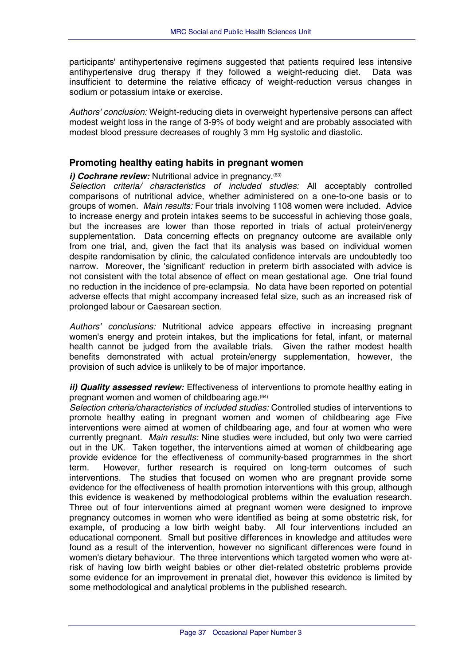<span id="page-39-0"></span>participants' antihypertensive regimens suggested that patients required less intensive antihypertensive drug therapy if they followed a weight-reducing diet. Data was insufficient to determine the relative efficacy of weight-reduction versus changes in sodium or potassium intake or exercise.

*Authors' conclusion:* Weight-reducing diets in overweight hypertensive persons can affect modest weight loss in the range of 3-9% of body weight and are probably associated with modest blood pressure decreases of roughly 3 mm Hg systolic and diastolic.

#### **Promoting healthy eating habits in pregnant women**

#### *i) Cochrane review:* Nutritional advice in pregnancy.<sup>(63)</sup>

*Selection criteria/ characteristics of included studies:* All acceptably controlled comparisons of nutritional advice, whether administered on a one-to-one basis or to groups of women. *Main results:* Four trials involving 1108 women were included. Advice to increase energy and protein intakes seems to be successful in achieving those goals, but the increases are lower than those reported in trials of actual protein/energy supplementation. Data concerning effects on pregnancy outcome are available only from one trial, and, given the fact that its analysis was based on individual women despite randomisation by clinic, the calculated confidence intervals are undoubtedly too narrow. Moreover, the 'significant' reduction in preterm birth associated with advice is not consistent with the total absence of effect on mean gestational age. One trial found no reduction in the incidence of pre-eclampsia. No data have been reported on potential adverse effects that might accompany increased fetal size, such as an increased risk of prolonged labour or Caesarean section.

*Authors' conclusions:* Nutritional advice appears effective in increasing pregnant women's energy and protein intakes, but the implications for fetal, infant, or maternal health cannot be judged from the available trials. Given the rather modest health benefits demonstrated with actual protein/energy supplementation, however, the provision of such advice is unlikely to be of major importance.

*ii) Quality assessed review:* Effectiveness of interventions to promote healthy eating in pregnant women and women of childbearing age.(64)

*Selection criteria/characteristics of included studies:* Controlled studies of interventions to promote healthy eating in pregnant women and women of childbearing age Five interventions were aimed at women of childbearing age, and four at women who were currently pregnant. *Main results:* Nine studies were included, but only two were carried out in the UK. Taken together, the interventions aimed at women of childbearing age provide evidence for the effectiveness of community-based programmes in the short term. However, further research is required on long-term outcomes of such interventions. The studies that focused on women who are pregnant provide some evidence for the effectiveness of health promotion interventions with this group, although this evidence is weakened by methodological problems within the evaluation research. Three out of four interventions aimed at pregnant women were designed to improve pregnancy outcomes in women who were identified as being at some obstetric risk, for example, of producing a low birth weight baby. All four interventions included an educational component. Small but positive differences in knowledge and attitudes were found as a result of the intervention, however no significant differences were found in women's dietary behaviour. The three interventions which targeted women who were atrisk of having low birth weight babies or other diet-related obstetric problems provide some evidence for an improvement in prenatal diet, however this evidence is limited by some methodological and analytical problems in the published research.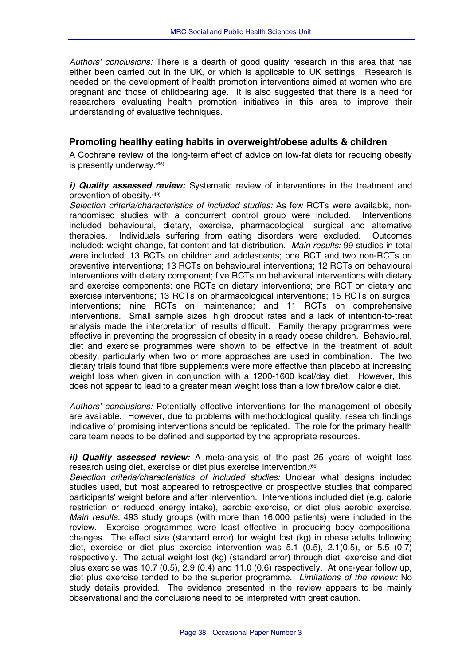<span id="page-40-0"></span>*Authors' conclusions:* There is a dearth of good quality research in this area that has either been carried out in the UK, or which is applicable to UK settings. Research is needed on the development of health promotion interventions aimed at women who are pregnant and those of childbearing age. It is also suggested that there is a need for researchers evaluating health promotion initiatives in this area to improve their understanding of evaluative techniques.

## **Promoting healthy eating habits in overweight/obese adults & children**

A Cochrane review of the long-term effect of advice on low-fat diets for reducing obesity is presently underway.<sup>(65)</sup>

#### *i) Quality assessed review:* Systematic review of interventions in the treatment and prevention of obesity.(49)

*Selection criteria/characteristics of included studies:* As few RCTs were available, nonrandomised studies with a concurrent control group were included. Interventions included behavioural, dietary, exercise, pharmacological, surgical and alternative therapies. Individuals suffering from eating disorders were excluded. Outcomes included: weight change, fat content and fat distribution. *Main results:* 99 studies in total were included: 13 RCTs on children and adolescents; one RCT and two non-RCTs on preventive interventions; 13 RCTs on behavioural interventions; 12 RCTs on behavioural interventions with dietary component; five RCTs on behavioural interventions with dietary and exercise components; one RCTs on dietary interventions; one RCT on dietary and exercise interventions; 13 RCTs on pharmacological interventions; 15 RCTs on surgical interventions; nine RCTs on maintenance; and 11 RCTs on comprehensive interventions. Small sample sizes, high dropout rates and a lack of intention-to-treat analysis made the interpretation of results difficult. Family therapy programmes were effective in preventing the progression of obesity in already obese children. Behavioural, diet and exercise programmes were shown to be effective in the treatment of adult obesity, particularly when two or more approaches are used in combination. The two dietary trials found that fibre supplements were more effective than placebo at increasing weight loss when given in conjunction with a 1200-1600 kcal/day diet. However, this does not appear to lead to a greater mean weight loss than a low fibre/low calorie diet.

*Authors' conclusions:* Potentially effective interventions for the management of obesity are available. However, due to problems with methodological quality, research findings indicative of promising interventions should be replicated. The role for the primary health care team needs to be defined and supported by the appropriate resources.

*ii) Quality assessed review:* A meta-analysis of the past 25 years of weight loss research using diet, exercise or diet plus exercise intervention.(66)

*Selection criteria/characteristics of included studies:* Unclear what designs included studies used, but most appeared to retrospective or prospective studies that compared participants' weight before and after intervention. Interventions included diet (e.g. calorie restriction or reduced energy intake), aerobic exercise, or diet plus aerobic exercise. *Main results:* 493 study groups (with more than 16,000 patients) were included in the review.Exercise programmes were least effective in producing body compositional changes. The effect size (standard error) for weight lost (kg) in obese adults following diet, exercise or diet plus exercise intervention was 5.1 (0.5), 2.1(0.5), or 5.5 (0.7) respectively. The actual weight lost (kg) (standard error) through diet, exercise and diet plus exercise was 10.7 (0.5), 2.9 (0.4) and 11.0 (0.6) respectively. At one-year follow up, diet plus exercise tended to be the superior programme. *Limitations of the review:* No study details provided. The evidence presented in the review appears to be mainly observational and the conclusions need to be interpreted with great caution.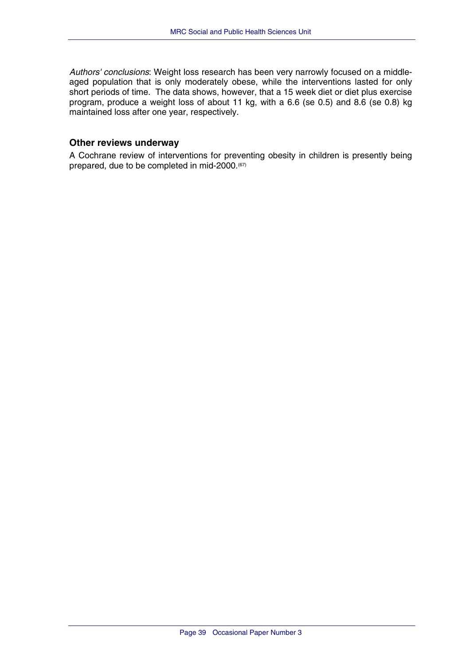<span id="page-41-0"></span>*Authors' conclusions*: Weight loss research has been very narrowly focused on a middleaged population that is only moderately obese, while the interventions lasted for only short periods of time. The data shows, however, that a 15 week diet or diet plus exercise program, produce a weight loss of about 11 kg, with a 6.6 (se 0.5) and 8.6 (se 0.8) kg maintained loss after one year, respectively.

## **Other reviews underway**

A Cochrane review of interventions for preventing obesity in children is presently being prepared, due to be completed in mid-2000.<sup>(67)</sup>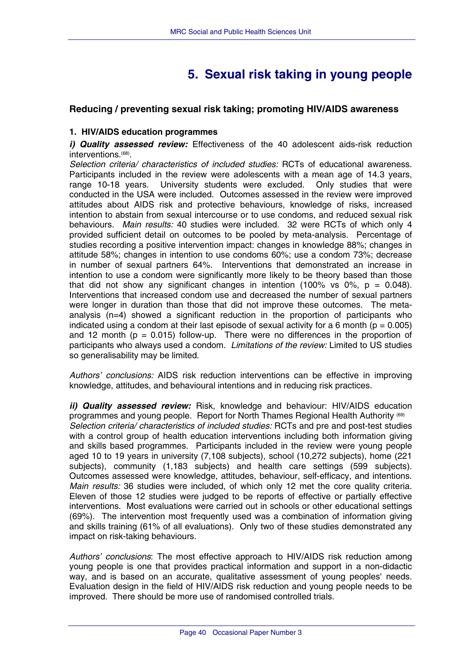## **5. Sexual risk taking in young people**

## <span id="page-42-0"></span>**Reducing / preventing sexual risk taking; promoting HIV/AIDS awareness**

#### **1. HIV/AIDS education programmes**

*i) Quality assessed review:* Effectiveness of the 40 adolescent aids-risk reduction interventions.(68).

*Selection criteria/ characteristics of included studies:* RCTs of educational awareness. Participants included in the review were adolescents with a mean age of 14.3 years, range 10-18 years. University students were excluded. Only studies that were conducted in the USA were included. Outcomes assessed in the review were improved attitudes about AIDS risk and protective behaviours, knowledge of risks, increased intention to abstain from sexual intercourse or to use condoms, and reduced sexual risk behaviours. *Main results:* 40 studies were included. 32 were RCTs of which only 4 provided sufficient detail on outcomes to be pooled by meta-analysis. Percentage of studies recording a positive intervention impact: changes in knowledge 88%; changes in attitude 58%; changes in intention to use condoms 60%; use a condom 73%; decrease in number of sexual partners 64%. Interventions that demonstrated an increase in intention to use a condom were significantly more likely to be theory based than those that did not show any significant changes in intention (100% vs 0%,  $p = 0.048$ ). Interventions that increased condom use and decreased the number of sexual partners were longer in duration than those that did not improve these outcomes. The metaanalysis (n=4) showed a significant reduction in the proportion of participants who indicated using a condom at their last episode of sexual activity for a 6 month  $(p = 0.005)$ and 12 month ( $p = 0.015$ ) follow-up. There were no differences in the proportion of participants who always used a condom. *Limitations of the review:* Limited to US studies so generalisability may be limited.

*Authors' conclusions:* AIDS risk reduction interventions can be effective in improving knowledge, attitudes, and behavioural intentions and in reducing risk practices.

*ii) Quality assessed review:* Risk, knowledge and behaviour: HIV/AIDS education programmes and young people. Report for North Thames Regional Health Authority (69) *Selection criteria/ characteristics of included studies:* RCTs and pre and post-test studies with a control group of health education interventions including both information giving and skills based programmes. Participants included in the review were young people aged 10 to 19 years in university (7,108 subjects), school (10,272 subjects), home (221 subjects), community (1,183 subjects) and health care settings (599 subjects). Outcomes assessed were knowledge, attitudes, behaviour, self-efficacy, and intentions. *Main results:* 36 studies were included, of which only 12 met the core quality criteria. Eleven of those 12 studies were judged to be reports of effective or partially effective interventions. Most evaluations were carried out in schools or other educational settings (69%). The intervention most frequently used was a combination of information giving and skills training (61% of all evaluations). Only two of these studies demonstrated any impact on risk-taking behaviours.

*Authors' conclusions*: The most effective approach to HIV/AIDS risk reduction among young people is one that provides practical information and support in a non-didactic way, and is based on an accurate, qualitative assessment of young peoples' needs. Evaluation design in the field of HIV/AIDS risk reduction and young people needs to be improved. There should be more use of randomised controlled trials.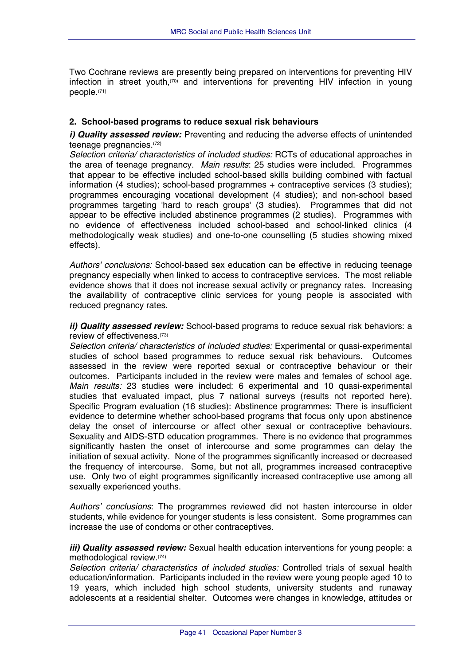<span id="page-43-0"></span>Two Cochrane reviews are presently being prepared on interventions for preventing HIV infection in street youth,<sup>(70)</sup> and interventions for preventing HIV infection in young people.(71)

#### **2. School-based programs to reduce sexual risk behaviours**

*i) Quality assessed review:* Preventing and reducing the adverse effects of unintended teenage pregnancies.(72)

*Selection criteria/ characteristics of included studies:* RCTs of educational approaches in the area of teenage pregnancy. *Main results*: 25 studies were included. Programmes that appear to be effective included school-based skills building combined with factual information (4 studies); school-based programmes + contraceptive services (3 studies); programmes encouraging vocational development (4 studies); and non-school based programmes targeting 'hard to reach groups' (3 studies). Programmes that did not appear to be effective included abstinence programmes (2 studies). Programmes with no evidence of effectiveness included school-based and school-linked clinics (4 methodologically weak studies) and one-to-one counselling (5 studies showing mixed effects).

*Authors' conclusions:* School-based sex education can be effective in reducing teenage pregnancy especially when linked to access to contraceptive services. The most reliable evidence shows that it does not increase sexual activity or pregnancy rates. Increasing the availability of contraceptive clinic services for young people is associated with reduced pregnancy rates.

*ii) Quality assessed review:* School-based programs to reduce sexual risk behaviors: a review of effectiveness.(73)

*Selection criteria/ characteristics of included studies:* Experimental or quasi-experimental studies of school based programmes to reduce sexual risk behaviours. Outcomes assessed in the review were reported sexual or contraceptive behaviour or their outcomes. Participants included in the review were males and females of school age. *Main results:* 23 studies were included: 6 experimental and 10 quasi-experimental studies that evaluated impact, plus 7 national surveys (results not reported here). Specific Program evaluation (16 studies): Abstinence programmes: There is insufficient evidence to determine whether school-based programs that focus only upon abstinence delay the onset of intercourse or affect other sexual or contraceptive behaviours. Sexuality and AIDS-STD education programmes. There is no evidence that programmes significantly hasten the onset of intercourse and some programmes can delay the initiation of sexual activity. None of the programmes significantly increased or decreased the frequency of intercourse. Some, but not all, programmes increased contraceptive use. Only two of eight programmes significantly increased contraceptive use among all sexually experienced youths.

*Authors' conclusions*: The programmes reviewed did not hasten intercourse in older students, while evidence for younger students is less consistent. Some programmes can increase the use of condoms or other contraceptives.

*iii) Quality assessed review:* Sexual health education interventions for young people: a methodological review.(74)

*Selection criteria/ characteristics of included studies:* Controlled trials of sexual health education/information. Participants included in the review were young people aged 10 to 19 years, which included high school students, university students and runaway adolescents at a residential shelter. Outcomes were changes in knowledge, attitudes or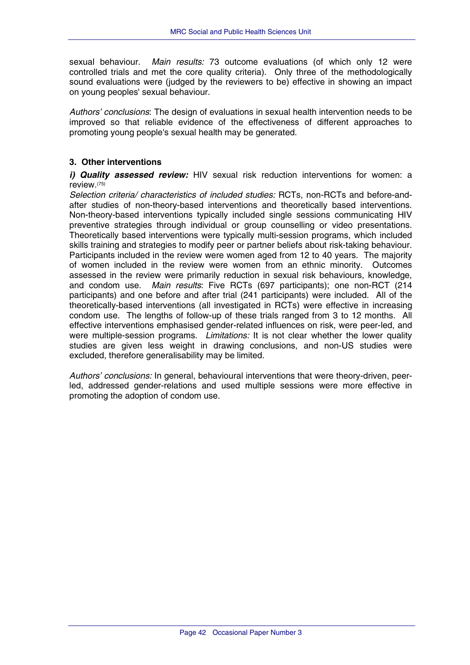<span id="page-44-0"></span>sexual behaviour. *Main results:* 73 outcome evaluations (of which only 12 were controlled trials and met the core quality criteria). Only three of the methodologically sound evaluations were (judged by the reviewers to be) effective in showing an impact on young peoples' sexual behaviour.

*Authors' conclusions*: The design of evaluations in sexual health intervention needs to be improved so that reliable evidence of the effectiveness of different approaches to promoting young people's sexual health may be generated.

## **3. Other interventions**

*i) Quality assessed review:* HIV sexual risk reduction interventions for women: a review.(75)

*Selection criteria/ characteristics of included studies:* RCTs, non-RCTs and before-andafter studies of non-theory-based interventions and theoretically based interventions. Non-theory-based interventions typically included single sessions communicating HIV preventive strategies through individual or group counselling or video presentations. Theoretically based interventions were typically multi-session programs, which included skills training and strategies to modify peer or partner beliefs about risk-taking behaviour. Participants included in the review were women aged from 12 to 40 years. The majority of women included in the review were women from an ethnic minority. Outcomes assessed in the review were primarily reduction in sexual risk behaviours, knowledge, and condom use. *Main results*: Five RCTs (697 participants); one non-RCT (214 participants) and one before and after trial (241 participants) were included. All of the theoretically-based interventions (all investigated in RCTs) were effective in increasing condom use. The lengths of follow-up of these trials ranged from 3 to 12 months. All effective interventions emphasised gender-related influences on risk, were peer-led, and were multiple-session programs. *Limitations:* It is not clear whether the lower quality studies are given less weight in drawing conclusions, and non-US studies were excluded, therefore generalisability may be limited.

*Authors' conclusions:* In general, behavioural interventions that were theory-driven, peerled, addressed gender-relations and used multiple sessions were more effective in promoting the adoption of condom use.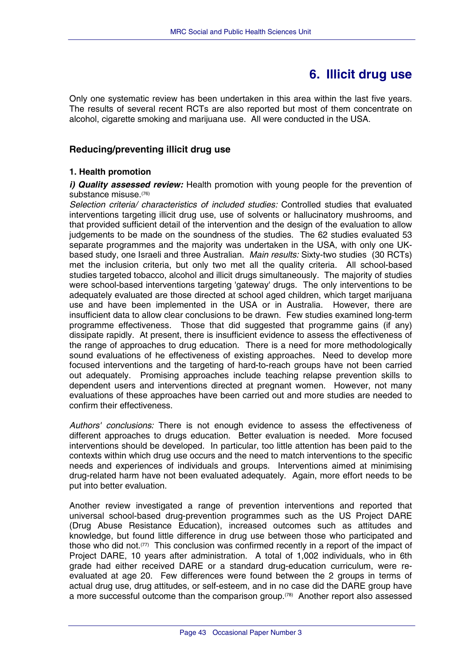## **6. Illicit drug use**

<span id="page-45-0"></span>Only one systematic review has been undertaken in this area within the last five years. The results of several recent RCTs are also reported but most of them concentrate on alcohol, cigarette smoking and marijuana use. All were conducted in the USA.

## **Reducing/preventing illicit drug use**

## **1. Health promotion**

*i) Quality assessed review:* Health promotion with young people for the prevention of substance misuse.(76)

*Selection criteria/ characteristics of included studies:* Controlled studies that evaluated interventions targeting illicit drug use, use of solvents or hallucinatory mushrooms, and that provided sufficient detail of the intervention and the design of the evaluation to allow judgements to be made on the soundness of the studies. The 62 studies evaluated 53 separate programmes and the majority was undertaken in the USA, with only one UKbased study, one Israeli and three Australian. *Main results:* Sixty-two studies (30 RCTs) met the inclusion criteria, but only two met all the quality criteria. All school-based studies targeted tobacco, alcohol and illicit drugs simultaneously. The majority of studies were school-based interventions targeting 'gateway' drugs. The only interventions to be adequately evaluated are those directed at school aged children, which target marijuana use and have been implemented in the USA or in Australia. However, there are insufficient data to allow clear conclusions to be drawn. Few studies examined long-term programme effectiveness. Those that did suggested that programme gains (if any) dissipate rapidly. At present, there is insufficient evidence to assess the effectiveness of the range of approaches to drug education. There is a need for more methodologically sound evaluations of he effectiveness of existing approaches. Need to develop more focused interventions and the targeting of hard-to-reach groups have not been carried out adequately. Promising approaches include teaching relapse prevention skills to dependent users and interventions directed at pregnant women. However, not many evaluations of these approaches have been carried out and more studies are needed to confirm their effectiveness.

*Authors' conclusions:* There is not enough evidence to assess the effectiveness of different approaches to drugs education. Better evaluation is needed. More focused interventions should be developed. In particular, too little attention has been paid to the contexts within which drug use occurs and the need to match interventions to the specific needs and experiences of individuals and groups. Interventions aimed at minimising drug-related harm have not been evaluated adequately. Again, more effort needs to be put into better evaluation.

Another review investigated a range of prevention interventions and reported that universal school-based drug-prevention programmes such as the US Project DARE (Drug Abuse Resistance Education), increased outcomes such as attitudes and knowledge, but found little difference in drug use between those who participated and those who did not.(77) This conclusion was confirmed recently in a report of the impact of Project DARE, 10 years after administration. A total of 1,002 individuals, who in 6th grade had either received DARE or a standard drug-education curriculum, were reevaluated at age 20. Few differences were found between the 2 groups in terms of actual drug use, drug attitudes, or self-esteem, and in no case did the DARE group have a more successful outcome than the comparison group.(78) Another report also assessed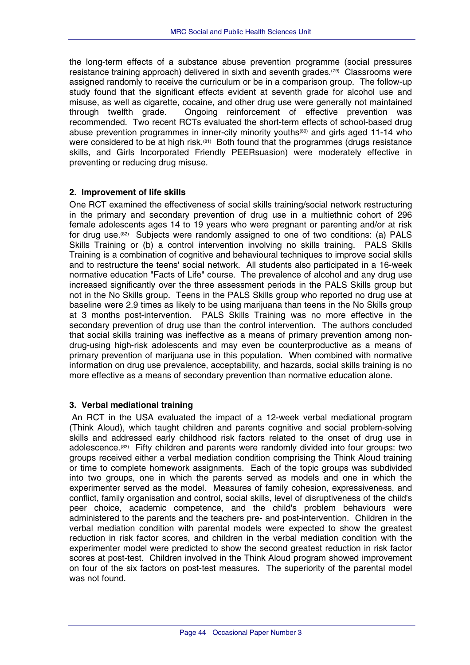<span id="page-46-0"></span>the long-term effects of a substance abuse prevention programme (social pressures resistance training approach) delivered in sixth and seventh grades.(79) Classrooms were assigned randomly to receive the curriculum or be in a comparison group. The follow-up study found that the significant effects evident at seventh grade for alcohol use and misuse, as well as cigarette, cocaine, and other drug use were generally not maintained through twelfth grade. Ongoing reinforcement of effective prevention was recommended. Two recent RCTs evaluated the short-term effects of school-based drug abuse prevention programmes in inner-city minority youths<sup>(80)</sup> and girls aged 11-14 who were considered to be at high risk.<sup>(81)</sup> Both found that the programmes (drugs resistance skills, and Girls Incorporated Friendly PEERsuasion) were moderately effective in preventing or reducing drug misuse.

## **2. Improvement of life skills**

One RCT examined the effectiveness of social skills training/social network restructuring in the primary and secondary prevention of drug use in a multiethnic cohort of 296 female adolescents ages 14 to 19 years who were pregnant or parenting and/or at risk for drug use.(82) Subjects were randomly assigned to one of two conditions: (a) PALS Skills Training or (b) a control intervention involving no skills training. PALS Skills Training is a combination of cognitive and behavioural techniques to improve social skills and to restructure the teens' social network. All students also participated in a 16-week normative education "Facts of Life" course. The prevalence of alcohol and any drug use increased significantly over the three assessment periods in the PALS Skills group but not in the No Skills group. Teens in the PALS Skills group who reported no drug use at baseline were 2.9 times as likely to be using marijuana than teens in the No Skills group at 3 months post-intervention. PALS Skills Training was no more effective in the secondary prevention of drug use than the control intervention. The authors concluded that social skills training was ineffective as a means of primary prevention among nondrug-using high-risk adolescents and may even be counterproductive as a means of primary prevention of marijuana use in this population. When combined with normative information on drug use prevalence, acceptability, and hazards, social skills training is no more effective as a means of secondary prevention than normative education alone.

## **3. Verbal mediational training**

 An RCT in the USA evaluated the impact of a 12-week verbal mediational program (Think Aloud), which taught children and parents cognitive and social problem-solving skills and addressed early childhood risk factors related to the onset of drug use in adolescence.(83) Fifty children and parents were randomly divided into four groups: two groups received either a verbal mediation condition comprising the Think Aloud training or time to complete homework assignments. Each of the topic groups was subdivided into two groups, one in which the parents served as models and one in which the experimenter served as the model. Measures of family cohesion, expressiveness, and conflict, family organisation and control, social skills, level of disruptiveness of the child's peer choice, academic competence, and the child's problem behaviours were administered to the parents and the teachers pre- and post-intervention. Children in the verbal mediation condition with parental models were expected to show the greatest reduction in risk factor scores, and children in the verbal mediation condition with the experimenter model were predicted to show the second greatest reduction in risk factor scores at post-test. Children involved in the Think Aloud program showed improvement on four of the six factors on post-test measures. The superiority of the parental model was not found.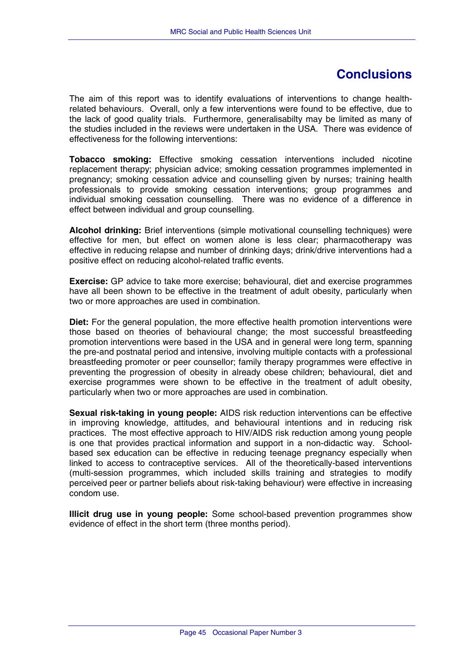## **Conclusions**

<span id="page-47-0"></span>The aim of this report was to identify evaluations of interventions to change healthrelated behaviours. Overall, only a few interventions were found to be effective, due to the lack of good quality trials. Furthermore, generalisabilty may be limited as many of the studies included in the reviews were undertaken in the USA. There was evidence of effectiveness for the following interventions:

**Tobacco smoking:** Effective smoking cessation interventions included nicotine replacement therapy; physician advice; smoking cessation programmes implemented in pregnancy; smoking cessation advice and counselling given by nurses; training health professionals to provide smoking cessation interventions; group programmes and individual smoking cessation counselling. There was no evidence of a difference in effect between individual and group counselling.

**Alcohol drinking:** Brief interventions (simple motivational counselling techniques) were effective for men, but effect on women alone is less clear; pharmacotherapy was effective in reducing relapse and number of drinking days; drink/drive interventions had a positive effect on reducing alcohol-related traffic events.

**Exercise:** GP advice to take more exercise; behavioural, diet and exercise programmes have all been shown to be effective in the treatment of adult obesity, particularly when two or more approaches are used in combination.

**Diet:** For the general population, the more effective health promotion interventions were those based on theories of behavioural change; the most successful breastfeeding promotion interventions were based in the USA and in general were long term, spanning the pre-and postnatal period and intensive, involving multiple contacts with a professional breastfeeding promoter or peer counsellor; family therapy programmes were effective in preventing the progression of obesity in already obese children; behavioural, diet and exercise programmes were shown to be effective in the treatment of adult obesity, particularly when two or more approaches are used in combination.

**Sexual risk-taking in young people:** AIDS risk reduction interventions can be effective in improving knowledge, attitudes, and behavioural intentions and in reducing risk practices. The most effective approach to HIV/AIDS risk reduction among young people is one that provides practical information and support in a non-didactic way. Schoolbased sex education can be effective in reducing teenage pregnancy especially when linked to access to contraceptive services. All of the theoretically-based interventions (multi-session programmes, which included skills training and strategies to modify perceived peer or partner beliefs about risk-taking behaviour) were effective in increasing condom use.

**Illicit drug use in young people:** Some school-based prevention programmes show evidence of effect in the short term (three months period).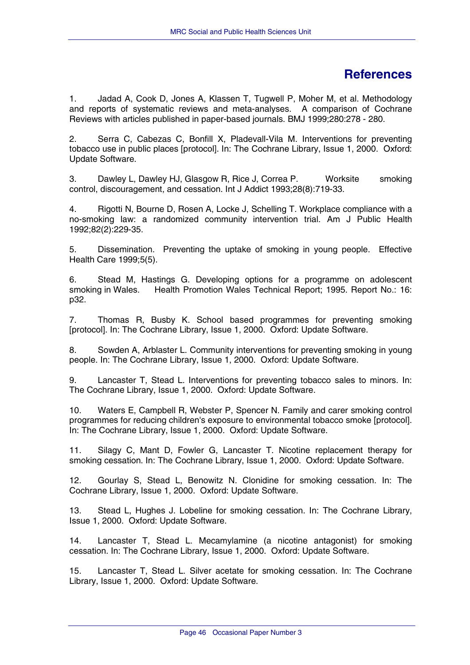## **References**

<span id="page-48-0"></span>1. Jadad A, Cook D, Jones A, Klassen T, Tugwell P, Moher M, et al. Methodology and reports of systematic reviews and meta-analyses. A comparison of Cochrane Reviews with articles published in paper-based journals. BMJ 1999;280:278 - 280.

2. Serra C, Cabezas C, Bonfill X, Pladevall-Vila M. Interventions for preventing tobacco use in public places [protocol]. In: The Cochrane Library, Issue 1, 2000. Oxford: Update Software.

3. Dawley L, Dawley HJ, Glasgow R, Rice J, Correa P. Worksite smoking control, discouragement, and cessation. Int J Addict 1993;28(8):719-33.

4. Rigotti N, Bourne D, Rosen A, Locke J, Schelling T. Workplace compliance with a no-smoking law: a randomized community intervention trial. Am J Public Health 1992;82(2):229-35.

5. Dissemination. Preventing the uptake of smoking in young people. Effective Health Care 1999;5(5).

6. Stead M, Hastings G. Developing options for a programme on adolescent smoking in Wales. Health Promotion Wales Technical Report; 1995. Report No.: 16: p32.

7. Thomas R, Busby K. School based programmes for preventing smoking [protocol]. In: The Cochrane Library, Issue 1, 2000. Oxford: Update Software.

8. Sowden A, Arblaster L. Community interventions for preventing smoking in young people. In: The Cochrane Library, Issue 1, 2000. Oxford: Update Software.

9. Lancaster T, Stead L. Interventions for preventing tobacco sales to minors. In: The Cochrane Library, Issue 1, 2000. Oxford: Update Software.

10. Waters E, Campbell R, Webster P, Spencer N. Family and carer smoking control programmes for reducing children's exposure to environmental tobacco smoke [protocol]. In: The Cochrane Library, Issue 1, 2000. Oxford: Update Software.

11. Silagy C, Mant D, Fowler G, Lancaster T. Nicotine replacement therapy for smoking cessation. In: The Cochrane Library, Issue 1, 2000. Oxford: Update Software.

12. Gourlay S, Stead L, Benowitz N. Clonidine for smoking cessation. In: The Cochrane Library, Issue 1, 2000. Oxford: Update Software.

13. Stead L, Hughes J. Lobeline for smoking cessation. In: The Cochrane Library, Issue 1, 2000. Oxford: Update Software.

14. Lancaster T, Stead L. Mecamylamine (a nicotine antagonist) for smoking cessation. In: The Cochrane Library, Issue 1, 2000. Oxford: Update Software.

15. Lancaster T, Stead L. Silver acetate for smoking cessation. In: The Cochrane Library, Issue 1, 2000. Oxford: Update Software.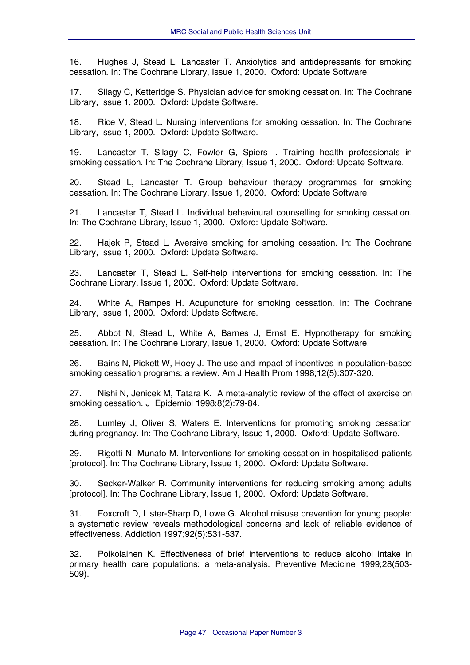16. Hughes J, Stead L, Lancaster T. Anxiolytics and antidepressants for smoking cessation. In: The Cochrane Library, Issue 1, 2000. Oxford: Update Software.

17. Silagy C, Ketteridge S. Physician advice for smoking cessation. In: The Cochrane Library, Issue 1, 2000. Oxford: Update Software.

18. Rice V, Stead L. Nursing interventions for smoking cessation. In: The Cochrane Library, Issue 1, 2000. Oxford: Update Software.

19. Lancaster T, Silagy C, Fowler G, Spiers I. Training health professionals in smoking cessation. In: The Cochrane Library, Issue 1, 2000. Oxford: Update Software.

20. Stead L, Lancaster T. Group behaviour therapy programmes for smoking cessation. In: The Cochrane Library, Issue 1, 2000. Oxford: Update Software.

21. Lancaster T, Stead L. Individual behavioural counselling for smoking cessation. In: The Cochrane Library, Issue 1, 2000. Oxford: Update Software.

22. Hajek P, Stead L. Aversive smoking for smoking cessation. In: The Cochrane Library, Issue 1, 2000. Oxford: Update Software.

23. Lancaster T, Stead L. Self-help interventions for smoking cessation. In: The Cochrane Library, Issue 1, 2000. Oxford: Update Software.

24. White A, Rampes H. Acupuncture for smoking cessation. In: The Cochrane Library, Issue 1, 2000. Oxford: Update Software.

25. Abbot N, Stead L, White A, Barnes J, Ernst E. Hypnotherapy for smoking cessation. In: The Cochrane Library, Issue 1, 2000. Oxford: Update Software.

26. Bains N, Pickett W, Hoey J. The use and impact of incentives in population-based smoking cessation programs: a review. Am J Health Prom 1998;12(5):307-320.

27. Nishi N, Jenicek M, Tatara K. A meta-analytic review of the effect of exercise on smoking cessation. J Epidemiol 1998;8(2):79-84.

28. Lumley J, Oliver S, Waters E. Interventions for promoting smoking cessation during pregnancy. In: The Cochrane Library, Issue 1, 2000. Oxford: Update Software.

29. Rigotti N, Munafo M. Interventions for smoking cessation in hospitalised patients [protocol]. In: The Cochrane Library, Issue 1, 2000. Oxford: Update Software.

30. Secker-Walker R. Community interventions for reducing smoking among adults [protocol]. In: The Cochrane Library, Issue 1, 2000. Oxford: Update Software.

31. Foxcroft D, Lister-Sharp D, Lowe G. Alcohol misuse prevention for young people: a systematic review reveals methodological concerns and lack of reliable evidence of effectiveness. Addiction 1997;92(5):531-537.

32. Poikolainen K. Effectiveness of brief interventions to reduce alcohol intake in primary health care populations: a meta-analysis. Preventive Medicine 1999;28(503- 509).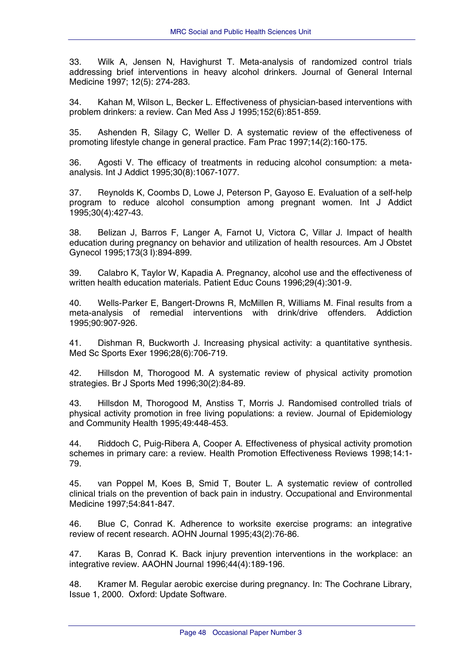33. Wilk A, Jensen N, Havighurst T. Meta-analysis of randomized control trials addressing brief interventions in heavy alcohol drinkers. Journal of General Internal Medicine 1997; 12(5): 274-283.

34. Kahan M, Wilson L, Becker L. Effectiveness of physician-based interventions with problem drinkers: a review. Can Med Ass J 1995;152(6):851-859.

35. Ashenden R, Silagy C, Weller D. A systematic review of the effectiveness of promoting lifestyle change in general practice. Fam Prac 1997;14(2):160-175.

36. Agosti V. The efficacy of treatments in reducing alcohol consumption: a metaanalysis. Int J Addict 1995;30(8):1067-1077.

37. Reynolds K, Coombs D, Lowe J, Peterson P, Gayoso E. Evaluation of a self-help program to reduce alcohol consumption among pregnant women. Int J Addict 1995;30(4):427-43.

38. Belizan J, Barros F, Langer A, Farnot U, Victora C, Villar J. Impact of health education during pregnancy on behavior and utilization of health resources. Am J Obstet Gynecol 1995;173(3 I):894-899.

39. Calabro K, Taylor W, Kapadia A. Pregnancy, alcohol use and the effectiveness of written health education materials. Patient Educ Couns 1996;29(4):301-9.

40. Wells-Parker E, Bangert-Drowns R, McMillen R, Williams M. Final results from a meta-analysis of remedial interventions with drink/drive offenders. Addiction 1995;90:907-926.

41. Dishman R, Buckworth J. Increasing physical activity: a quantitative synthesis. Med Sc Sports Exer 1996;28(6):706-719.

42. Hillsdon M, Thorogood M. A systematic review of physical activity promotion strategies. Br J Sports Med 1996;30(2):84-89.

43. Hillsdon M, Thorogood M, Anstiss T, Morris J. Randomised controlled trials of physical activity promotion in free living populations: a review. Journal of Epidemiology and Community Health 1995;49:448-453.

44. Riddoch C, Puig-Ribera A, Cooper A. Effectiveness of physical activity promotion schemes in primary care: a review. Health Promotion Effectiveness Reviews 1998;14:1- 79.

45. van Poppel M, Koes B, Smid T, Bouter L. A systematic review of controlled clinical trials on the prevention of back pain in industry. Occupational and Environmental Medicine 1997;54:841-847.

46. Blue C, Conrad K. Adherence to worksite exercise programs: an integrative review of recent research. AOHN Journal 1995;43(2):76-86.

47. Karas B, Conrad K. Back injury prevention interventions in the workplace: an integrative review. AAOHN Journal 1996;44(4):189-196.

48. Kramer M. Regular aerobic exercise during pregnancy. In: The Cochrane Library, Issue 1, 2000. Oxford: Update Software.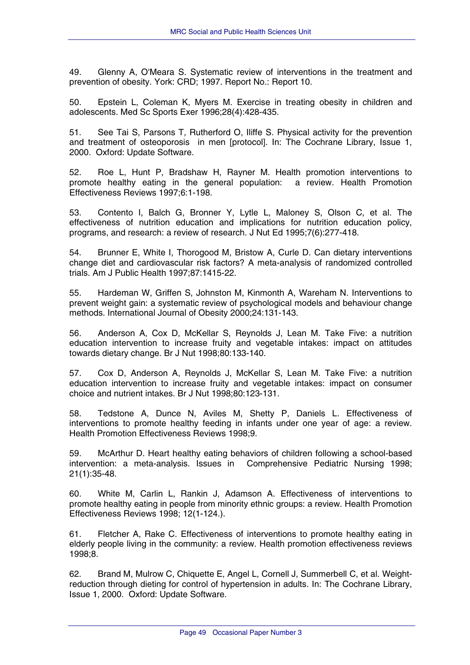49. Glenny A, O'Meara S. Systematic review of interventions in the treatment and prevention of obesity. York: CRD; 1997. Report No.: Report 10.

50. Epstein L, Coleman K, Myers M. Exercise in treating obesity in children and adolescents. Med Sc Sports Exer 1996;28(4):428-435.

51. See Tai S, Parsons T, Rutherford O, Iliffe S. Physical activity for the prevention and treatment of osteoporosis in men [protocol]. In: The Cochrane Library, Issue 1, 2000. Oxford: Update Software.

52. Roe L, Hunt P, Bradshaw H, Rayner M. Health promotion interventions to promote healthy eating in the general population: a review. Health Promotion Effectiveness Reviews 1997;6:1-198.

53. Contento I, Balch G, Bronner Y, Lytle L, Maloney S, Olson C, et al. The effectiveness of nutrition education and implications for nutrition education policy, programs, and research: a review of research. J Nut Ed 1995;7(6):277-418.

54. Brunner E, White I, Thorogood M, Bristow A, Curle D. Can dietary interventions change diet and cardiovascular risk factors? A meta-analysis of randomized controlled trials. Am J Public Health 1997;87:1415-22.

55. Hardeman W, Griffen S, Johnston M, Kinmonth A, Wareham N. Interventions to prevent weight gain: a systematic review of psychological models and behaviour change methods. International Journal of Obesity 2000;24:131-143.

56. Anderson A, Cox D, McKellar S, Reynolds J, Lean M. Take Five: a nutrition education intervention to increase fruity and vegetable intakes: impact on attitudes towards dietary change. Br J Nut 1998;80:133-140.

57. Cox D, Anderson A, Reynolds J, McKellar S, Lean M. Take Five: a nutrition education intervention to increase fruity and vegetable intakes: impact on consumer choice and nutrient intakes. Br J Nut 1998;80:123-131.

58. Tedstone A, Dunce N, Aviles M, Shetty P, Daniels L. Effectiveness of interventions to promote healthy feeding in infants under one year of age: a review. Health Promotion Effectiveness Reviews 1998;9.

59. McArthur D. Heart healthy eating behaviors of children following a school-based intervention: a meta-analysis. Issues in Comprehensive Pediatric Nursing 1998; 21(1):35-48.

60. White M, Carlin L, Rankin J, Adamson A. Effectiveness of interventions to promote healthy eating in people from minority ethnic groups: a review. Health Promotion Effectiveness Reviews 1998; 12(1-124.).

61. Fletcher A, Rake C. Effectiveness of interventions to promote healthy eating in elderly people living in the community: a review. Health promotion effectiveness reviews 1998;8.

62. Brand M, Mulrow C, Chiquette E, Angel L, Cornell J, Summerbell C, et al. Weightreduction through dieting for control of hypertension in adults. In: The Cochrane Library, Issue 1, 2000. Oxford: Update Software.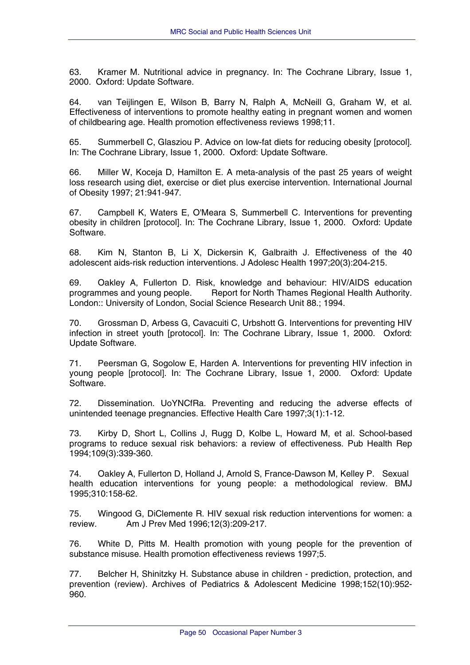63. Kramer M. Nutritional advice in pregnancy. In: The Cochrane Library, Issue 1, 2000. Oxford: Update Software.

64. van Teijlingen E, Wilson B, Barry N, Ralph A, McNeill G, Graham W, et al. Effectiveness of interventions to promote healthy eating in pregnant women and women of childbearing age. Health promotion effectiveness reviews 1998;11.

65. Summerbell C, Glasziou P. Advice on low-fat diets for reducing obesity [protocol]. In: The Cochrane Library, Issue 1, 2000. Oxford: Update Software.

66. Miller W, Koceja D, Hamilton E. A meta-analysis of the past 25 years of weight loss research using diet, exercise or diet plus exercise intervention. International Journal of Obesity 1997; 21:941-947.

67. Campbell K, Waters E, O'Meara S, Summerbell C. Interventions for preventing obesity in children [protocol]. In: The Cochrane Library, Issue 1, 2000. Oxford: Update Software.

68. Kim N, Stanton B, Li X, Dickersin K, Galbraith J. Effectiveness of the 40 adolescent aids-risk reduction interventions. J Adolesc Health 1997;20(3):204-215.

69. Oakley A, Fullerton D. Risk, knowledge and behaviour: HIV/AIDS education programmes and young people. Report for North Thames Regional Health Authority. London:: University of London, Social Science Research Unit 88.; 1994.

70. Grossman D, Arbess G, Cavacuiti C, Urbshott G. Interventions for preventing HIV infection in street youth [protocol]. In: The Cochrane Library, Issue 1, 2000. Oxford: Update Software.

71. Peersman G, Sogolow E, Harden A. Interventions for preventing HIV infection in young people [protocol]. In: The Cochrane Library, Issue 1, 2000. Oxford: Update Software.

72. Dissemination. UoYNCfRa. Preventing and reducing the adverse effects of unintended teenage pregnancies. Effective Health Care 1997;3(1):1-12.

73. Kirby D, Short L, Collins J, Rugg D, Kolbe L, Howard M, et al. School-based programs to reduce sexual risk behaviors: a review of effectiveness. Pub Health Rep 1994;109(3):339-360.

74. Oakley A, Fullerton D, Holland J, Arnold S, France-Dawson M, Kelley P. Sexual health education interventions for young people: a methodological review. BMJ 1995;310:158-62.

75. Wingood G, DiClemente R. HIV sexual risk reduction interventions for women: a review. Am J Prev Med 1996;12(3):209-217.

76. White D, Pitts M. Health promotion with young people for the prevention of substance misuse. Health promotion effectiveness reviews 1997;5.

77. Belcher H, Shinitzky H. Substance abuse in children - prediction, protection, and prevention (review). Archives of Pediatrics & Adolescent Medicine 1998;152(10):952- 960.